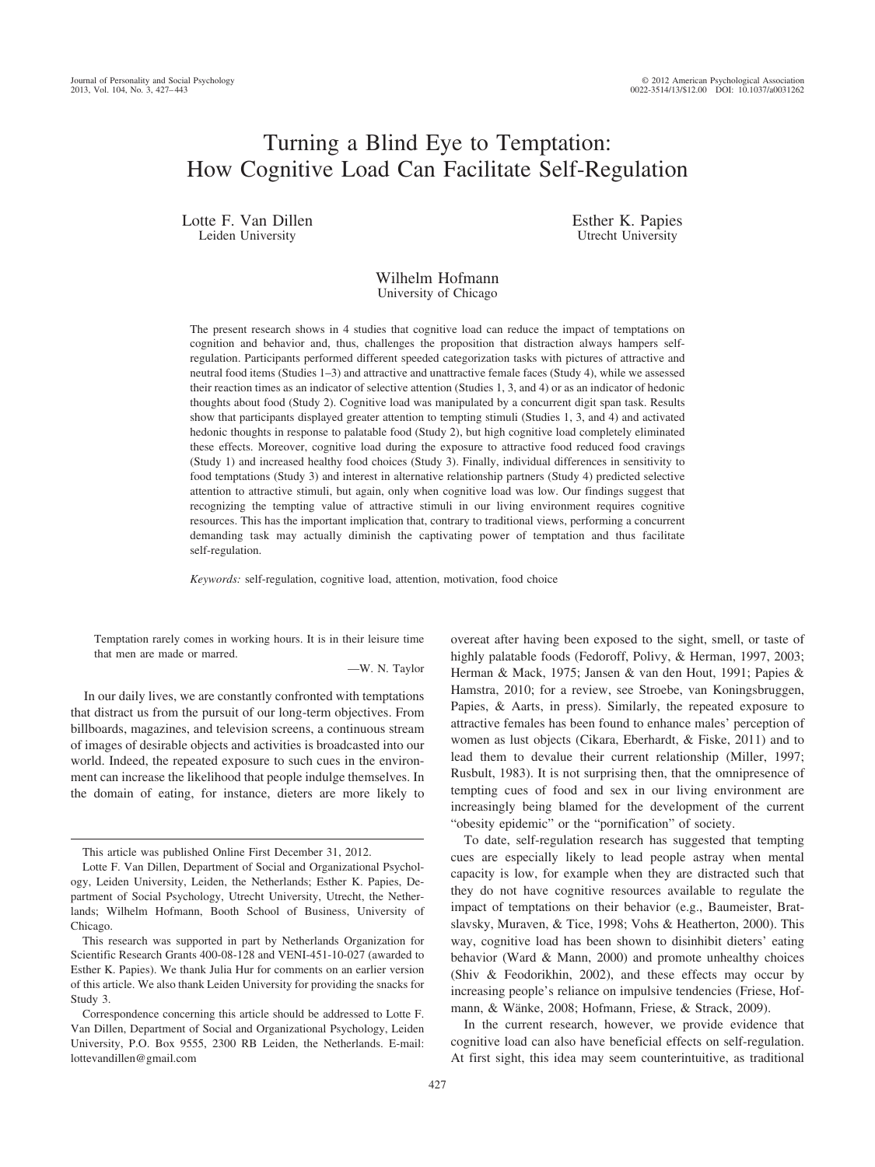# Turning a Blind Eye to Temptation: How Cognitive Load Can Facilitate Self-Regulation

Lotte F. Van Dillen Leiden University

Esther K. Papies Utrecht University

# Wilhelm Hofmann University of Chicago

The present research shows in 4 studies that cognitive load can reduce the impact of temptations on cognition and behavior and, thus, challenges the proposition that distraction always hampers selfregulation. Participants performed different speeded categorization tasks with pictures of attractive and neutral food items (Studies 1–3) and attractive and unattractive female faces (Study 4), while we assessed their reaction times as an indicator of selective attention (Studies 1, 3, and 4) or as an indicator of hedonic thoughts about food (Study 2). Cognitive load was manipulated by a concurrent digit span task. Results show that participants displayed greater attention to tempting stimuli (Studies 1, 3, and 4) and activated hedonic thoughts in response to palatable food (Study 2), but high cognitive load completely eliminated these effects. Moreover, cognitive load during the exposure to attractive food reduced food cravings (Study 1) and increased healthy food choices (Study 3). Finally, individual differences in sensitivity to food temptations (Study 3) and interest in alternative relationship partners (Study 4) predicted selective attention to attractive stimuli, but again, only when cognitive load was low. Our findings suggest that recognizing the tempting value of attractive stimuli in our living environment requires cognitive resources. This has the important implication that, contrary to traditional views, performing a concurrent demanding task may actually diminish the captivating power of temptation and thus facilitate self-regulation.

*Keywords:* self-regulation, cognitive load, attention, motivation, food choice

Temptation rarely comes in working hours. It is in their leisure time that men are made or marred.

—W. N. Taylor

In our daily lives, we are constantly confronted with temptations that distract us from the pursuit of our long-term objectives. From billboards, magazines, and television screens, a continuous stream of images of desirable objects and activities is broadcasted into our world. Indeed, the repeated exposure to such cues in the environment can increase the likelihood that people indulge themselves. In the domain of eating, for instance, dieters are more likely to

This article was published Online First December 31, 2012.

427

overeat after having been exposed to the sight, smell, or taste of highly palatable foods [\(Fedoroff, Polivy, & Herman, 1997,](#page-14-0) [2003;](#page-14-1) [Herman & Mack, 1975;](#page-15-0) [Jansen & van den Hout, 1991;](#page-15-1) [Papies &](#page-15-2) [Hamstra, 2010;](#page-15-2) for a review, see [Stroebe, van Koningsbruggen,](#page-16-0) [Papies, & Aarts, in press\)](#page-16-0). Similarly, the repeated exposure to attractive females has been found to enhance males' perception of women as lust objects [\(Cikara, Eberhardt, & Fiske, 2011\)](#page-14-2) and to lead them to devalue their current relationship [\(Miller, 1997;](#page-15-3) [Rusbult, 1983\)](#page-15-4). It is not surprising then, that the omnipresence of tempting cues of food and sex in our living environment are increasingly being blamed for the development of the current "obesity epidemic" or the "pornification" of society.

To date, self-regulation research has suggested that tempting cues are especially likely to lead people astray when mental capacity is low, for example when they are distracted such that they do not have cognitive resources available to regulate the impact of temptations on their behavior (e.g., [Baumeister, Brat](#page-14-3)[slavsky, Muraven, & Tice, 1998;](#page-14-3) [Vohs & Heatherton, 2000\)](#page-16-1). This way, cognitive load has been shown to disinhibit dieters' eating behavior [\(Ward & Mann, 2000\)](#page-16-2) and promote unhealthy choices [\(Shiv & Feodorikhin, 2002\)](#page-16-3), and these effects may occur by increasing people's reliance on impulsive tendencies [\(Friese, Hof](#page-14-4)[mann, & Wänke, 2008;](#page-14-4) [Hofmann, Friese, & Strack, 2009\)](#page-15-5).

In the current research, however, we provide evidence that cognitive load can also have beneficial effects on self-regulation. At first sight, this idea may seem counterintuitive, as traditional

Lotte F. Van Dillen, Department of Social and Organizational Psychology, Leiden University, Leiden, the Netherlands; Esther K. Papies, Department of Social Psychology, Utrecht University, Utrecht, the Netherlands; Wilhelm Hofmann, Booth School of Business, University of Chicago.

This research was supported in part by Netherlands Organization for Scientific Research Grants 400-08-128 and VENI-451-10-027 (awarded to Esther K. Papies). We thank Julia Hur for comments on an earlier version of this article. We also thank Leiden University for providing the snacks for Study 3.

Correspondence concerning this article should be addressed to Lotte F. Van Dillen, Department of Social and Organizational Psychology, Leiden University, P.O. Box 9555, 2300 RB Leiden, the Netherlands. E-mail: [lottevandillen@gmail.com](mailto:lottevandillen@gmail.com)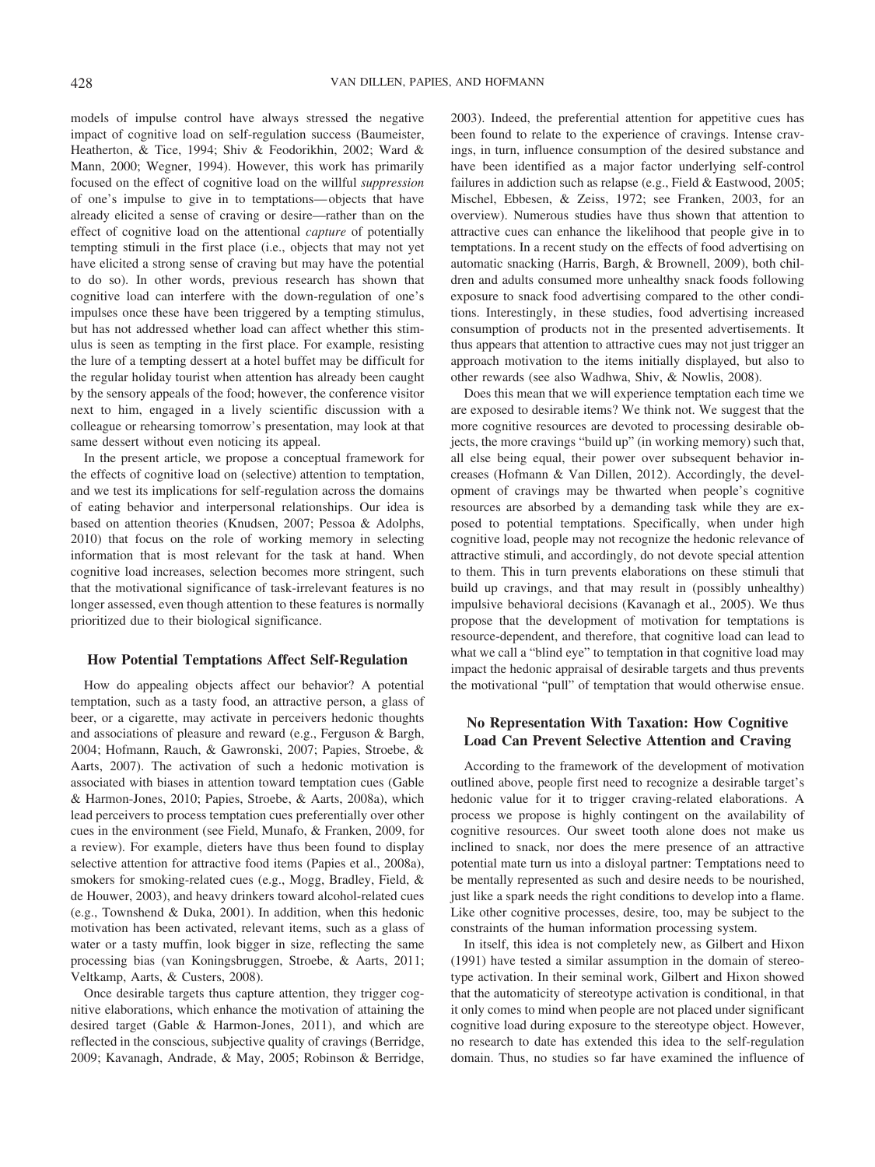models of impulse control have always stressed the negative impact of cognitive load on self-regulation success [\(Baumeister,](#page-14-5) [Heatherton, & Tice, 1994;](#page-14-5) [Shiv & Feodorikhin, 2002;](#page-16-3) [Ward &](#page-16-2) [Mann, 2000;](#page-16-2) [Wegner, 1994\)](#page-16-4). However, this work has primarily focused on the effect of cognitive load on the willful *suppression* of one's impulse to give in to temptations— objects that have already elicited a sense of craving or desire—rather than on the effect of cognitive load on the attentional *capture* of potentially tempting stimuli in the first place (i.e., objects that may not yet have elicited a strong sense of craving but may have the potential to do so). In other words, previous research has shown that cognitive load can interfere with the down-regulation of one's impulses once these have been triggered by a tempting stimulus, but has not addressed whether load can affect whether this stimulus is seen as tempting in the first place. For example, resisting the lure of a tempting dessert at a hotel buffet may be difficult for the regular holiday tourist when attention has already been caught by the sensory appeals of the food; however, the conference visitor next to him, engaged in a lively scientific discussion with a colleague or rehearsing tomorrow's presentation, may look at that same dessert without even noticing its appeal.

In the present article, we propose a conceptual framework for the effects of cognitive load on (selective) attention to temptation, and we test its implications for self-regulation across the domains of eating behavior and interpersonal relationships. Our idea is based on attention theories [\(Knudsen, 2007;](#page-15-6) [Pessoa & Adolphs,](#page-15-7) [2010\)](#page-15-7) that focus on the role of working memory in selecting information that is most relevant for the task at hand. When cognitive load increases, selection becomes more stringent, such that the motivational significance of task-irrelevant features is no longer assessed, even though attention to these features is normally prioritized due to their biological significance.

#### **How Potential Temptations Affect Self-Regulation**

How do appealing objects affect our behavior? A potential temptation, such as a tasty food, an attractive person, a glass of beer, or a cigarette, may activate in perceivers hedonic thoughts and associations of pleasure and reward (e.g., [Ferguson & Bargh,](#page-14-6) [2004;](#page-14-6) [Hofmann, Rauch, & Gawronski, 2007;](#page-15-8) [Papies, Stroebe, &](#page-15-9) [Aarts, 2007\)](#page-15-9). The activation of such a hedonic motivation is associated with biases in attention toward temptation cues [\(Gable](#page-14-7) [& Harmon-Jones, 2010;](#page-14-7) [Papies, Stroebe, & Aarts, 2008a\)](#page-15-10), which lead perceivers to process temptation cues preferentially over other cues in the environment (see [Field, Munafo, & Franken, 2009, for](#page-14-8) [a review\)](#page-14-8). For example, dieters have thus been found to display selective attention for attractive food items [\(Papies et al., 2008a\)](#page-15-10), smokers for smoking-related cues (e.g., [Mogg, Bradley, Field, &](#page-15-11) [de Houwer, 2003\)](#page-15-11), and heavy drinkers toward alcohol-related cues (e.g., [Townshend & Duka, 2001\)](#page-16-5). In addition, when this hedonic motivation has been activated, relevant items, such as a glass of water or a tasty muffin, look bigger in size, reflecting the same processing bias [\(van Koningsbruggen, Stroebe, & Aarts, 2011;](#page-16-6) [Veltkamp, Aarts, & Custers, 2008\)](#page-16-7).

Once desirable targets thus capture attention, they trigger cognitive elaborations, which enhance the motivation of attaining the desired target [\(Gable & Harmon-Jones, 2011\)](#page-14-9), and which are reflected in the conscious, subjective quality of cravings [\(Berridge,](#page-14-10) [2009;](#page-14-10) [Kavanagh, Andrade, & May, 2005;](#page-15-12) [Robinson & Berridge,](#page-15-13)

[2003\)](#page-15-13). Indeed, the preferential attention for appetitive cues has been found to relate to the experience of cravings. Intense cravings, in turn, influence consumption of the desired substance and have been identified as a major factor underlying self-control failures in addiction such as relapse (e.g., [Field & Eastwood, 2005;](#page-14-11) [Mischel, Ebbesen, & Zeiss, 1972;](#page-15-14) see [Franken, 2003,](#page-14-12) for an overview). Numerous studies have thus shown that attention to attractive cues can enhance the likelihood that people give in to temptations. In a recent study on the effects of food advertising on automatic snacking [\(Harris, Bargh, & Brownell, 2009\)](#page-14-13), both children and adults consumed more unhealthy snack foods following exposure to snack food advertising compared to the other conditions. Interestingly, in these studies, food advertising increased consumption of products not in the presented advertisements. It thus appears that attention to attractive cues may not just trigger an approach motivation to the items initially displayed, but also to other rewards (see also [Wadhwa, Shiv, & Nowlis, 2008\)](#page-16-8).

Does this mean that we will experience temptation each time we are exposed to desirable items? We think not. We suggest that the more cognitive resources are devoted to processing desirable objects, the more cravings "build up" (in working memory) such that, all else being equal, their power over subsequent behavior increases [\(Hofmann & Van Dillen, 2012\)](#page-15-15). Accordingly, the development of cravings may be thwarted when people's cognitive resources are absorbed by a demanding task while they are exposed to potential temptations. Specifically, when under high cognitive load, people may not recognize the hedonic relevance of attractive stimuli, and accordingly, do not devote special attention to them. This in turn prevents elaborations on these stimuli that build up cravings, and that may result in (possibly unhealthy) impulsive behavioral decisions [\(Kavanagh et al., 2005\)](#page-15-12). We thus propose that the development of motivation for temptations is resource-dependent, and therefore, that cognitive load can lead to what we call a "blind eye" to temptation in that cognitive load may impact the hedonic appraisal of desirable targets and thus prevents the motivational "pull" of temptation that would otherwise ensue.

# **No Representation With Taxation: How Cognitive Load Can Prevent Selective Attention and Craving**

According to the framework of the development of motivation outlined above, people first need to recognize a desirable target's hedonic value for it to trigger craving-related elaborations. A process we propose is highly contingent on the availability of cognitive resources. Our sweet tooth alone does not make us inclined to snack, nor does the mere presence of an attractive potential mate turn us into a disloyal partner: Temptations need to be mentally represented as such and desire needs to be nourished, just like a spark needs the right conditions to develop into a flame. Like other cognitive processes, desire, too, may be subject to the constraints of the human information processing system.

In itself, this idea is not completely new, as [Gilbert and Hixon](#page-14-14) [\(1991\)](#page-14-14) have tested a similar assumption in the domain of stereotype activation. In their seminal work, Gilbert and Hixon showed that the automaticity of stereotype activation is conditional, in that it only comes to mind when people are not placed under significant cognitive load during exposure to the stereotype object. However, no research to date has extended this idea to the self-regulation domain. Thus, no studies so far have examined the influence of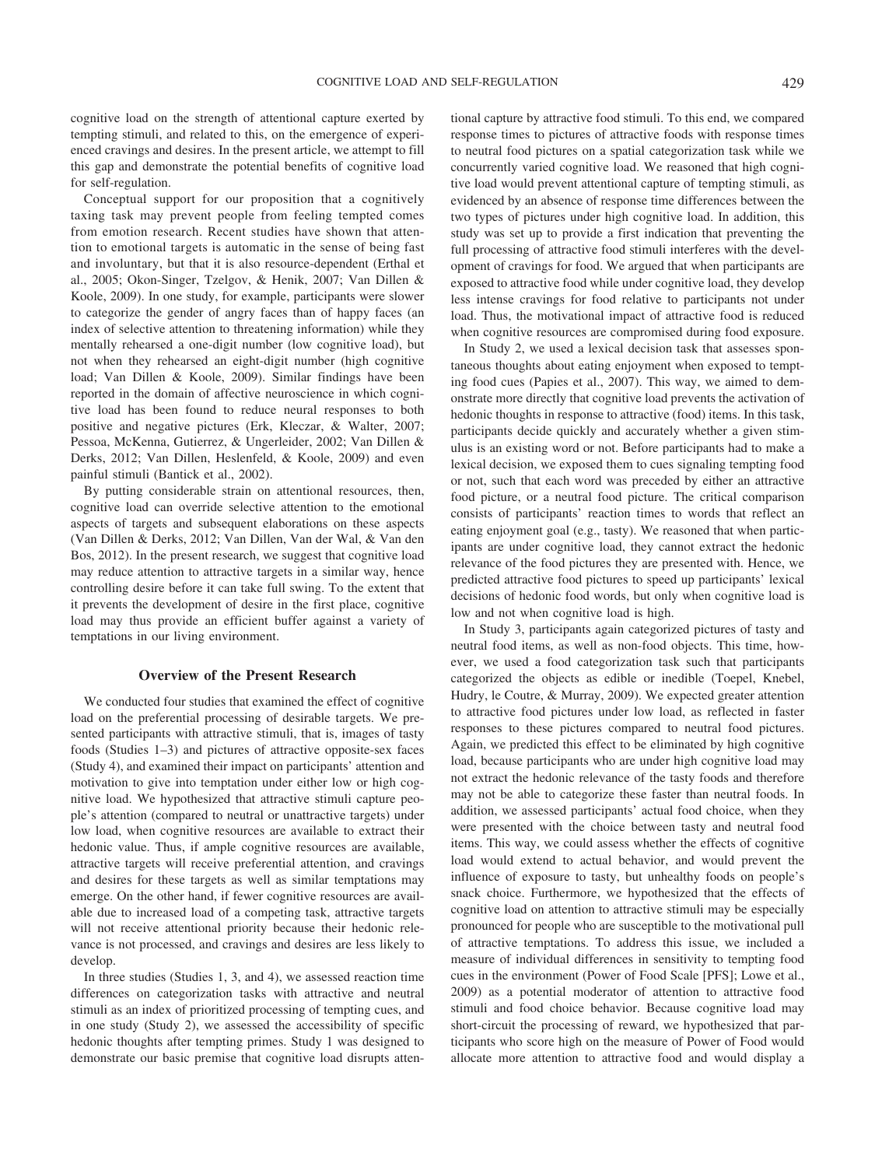cognitive load on the strength of attentional capture exerted by tempting stimuli, and related to this, on the emergence of experienced cravings and desires. In the present article, we attempt to fill this gap and demonstrate the potential benefits of cognitive load for self-regulation.

Conceptual support for our proposition that a cognitively taxing task may prevent people from feeling tempted comes from emotion research. Recent studies have shown that attention to emotional targets is automatic in the sense of being fast and involuntary, but that it is also resource-dependent [\(Erthal et](#page-14-15) [al., 2005;](#page-14-15) [Okon-Singer, Tzelgov, & Henik, 2007;](#page-15-16) [Van Dillen &](#page-16-9) [Koole, 2009\)](#page-16-9). In one study, for example, participants were slower to categorize the gender of angry faces than of happy faces (an index of selective attention to threatening information) while they mentally rehearsed a one-digit number (low cognitive load), but not when they rehearsed an eight-digit number (high cognitive load; [Van Dillen & Koole, 2009\)](#page-16-9). Similar findings have been reported in the domain of affective neuroscience in which cognitive load has been found to reduce neural responses to both positive and negative pictures [\(Erk, Kleczar, & Walter, 2007;](#page-14-16) [Pessoa, McKenna, Gutierrez, & Ungerleider, 2002;](#page-15-17) [Van Dillen &](#page-16-10) [Derks, 2012;](#page-16-10) [Van Dillen, Heslenfeld, & Koole, 2009\)](#page-16-11) and even painful stimuli [\(Bantick et al., 2002\)](#page-14-17).

By putting considerable strain on attentional resources, then, cognitive load can override selective attention to the emotional aspects of targets and subsequent elaborations on these aspects [\(Van Dillen & Derks, 2012;](#page-16-10) [Van Dillen, Van der Wal, & Van den](#page-16-12) [Bos, 2012\)](#page-16-12). In the present research, we suggest that cognitive load may reduce attention to attractive targets in a similar way, hence controlling desire before it can take full swing. To the extent that it prevents the development of desire in the first place, cognitive load may thus provide an efficient buffer against a variety of temptations in our living environment.

#### **Overview of the Present Research**

We conducted four studies that examined the effect of cognitive load on the preferential processing of desirable targets. We presented participants with attractive stimuli, that is, images of tasty foods (Studies 1–3) and pictures of attractive opposite-sex faces (Study 4), and examined their impact on participants' attention and motivation to give into temptation under either low or high cognitive load. We hypothesized that attractive stimuli capture people's attention (compared to neutral or unattractive targets) under low load, when cognitive resources are available to extract their hedonic value. Thus, if ample cognitive resources are available, attractive targets will receive preferential attention, and cravings and desires for these targets as well as similar temptations may emerge. On the other hand, if fewer cognitive resources are available due to increased load of a competing task, attractive targets will not receive attentional priority because their hedonic relevance is not processed, and cravings and desires are less likely to develop.

In three studies (Studies 1, 3, and 4), we assessed reaction time differences on categorization tasks with attractive and neutral stimuli as an index of prioritized processing of tempting cues, and in one study (Study 2), we assessed the accessibility of specific hedonic thoughts after tempting primes. Study 1 was designed to demonstrate our basic premise that cognitive load disrupts attentional capture by attractive food stimuli. To this end, we compared response times to pictures of attractive foods with response times to neutral food pictures on a spatial categorization task while we concurrently varied cognitive load. We reasoned that high cognitive load would prevent attentional capture of tempting stimuli, as evidenced by an absence of response time differences between the two types of pictures under high cognitive load. In addition, this study was set up to provide a first indication that preventing the full processing of attractive food stimuli interferes with the development of cravings for food. We argued that when participants are exposed to attractive food while under cognitive load, they develop less intense cravings for food relative to participants not under load. Thus, the motivational impact of attractive food is reduced when cognitive resources are compromised during food exposure.

In Study 2, we used a lexical decision task that assesses spontaneous thoughts about eating enjoyment when exposed to tempting food cues [\(Papies et al., 2007\)](#page-15-9). This way, we aimed to demonstrate more directly that cognitive load prevents the activation of hedonic thoughts in response to attractive (food) items. In this task, participants decide quickly and accurately whether a given stimulus is an existing word or not. Before participants had to make a lexical decision, we exposed them to cues signaling tempting food or not, such that each word was preceded by either an attractive food picture, or a neutral food picture. The critical comparison consists of participants' reaction times to words that reflect an eating enjoyment goal (e.g., tasty). We reasoned that when participants are under cognitive load, they cannot extract the hedonic relevance of the food pictures they are presented with. Hence, we predicted attractive food pictures to speed up participants' lexical decisions of hedonic food words, but only when cognitive load is low and not when cognitive load is high.

In Study 3, participants again categorized pictures of tasty and neutral food items, as well as non-food objects. This time, however, we used a food categorization task such that participants categorized the objects as edible or inedible [\(Toepel, Knebel,](#page-16-13) [Hudry, le Coutre, & Murray, 2009\)](#page-16-13). We expected greater attention to attractive food pictures under low load, as reflected in faster responses to these pictures compared to neutral food pictures. Again, we predicted this effect to be eliminated by high cognitive load, because participants who are under high cognitive load may not extract the hedonic relevance of the tasty foods and therefore may not be able to categorize these faster than neutral foods. In addition, we assessed participants' actual food choice, when they were presented with the choice between tasty and neutral food items. This way, we could assess whether the effects of cognitive load would extend to actual behavior, and would prevent the influence of exposure to tasty, but unhealthy foods on people's snack choice. Furthermore, we hypothesized that the effects of cognitive load on attention to attractive stimuli may be especially pronounced for people who are susceptible to the motivational pull of attractive temptations. To address this issue, we included a measure of individual differences in sensitivity to tempting food cues in the environment (Power of Food Scale [PFS]; [Lowe et al.,](#page-15-18) [2009\)](#page-15-18) as a potential moderator of attention to attractive food stimuli and food choice behavior. Because cognitive load may short-circuit the processing of reward, we hypothesized that participants who score high on the measure of Power of Food would allocate more attention to attractive food and would display a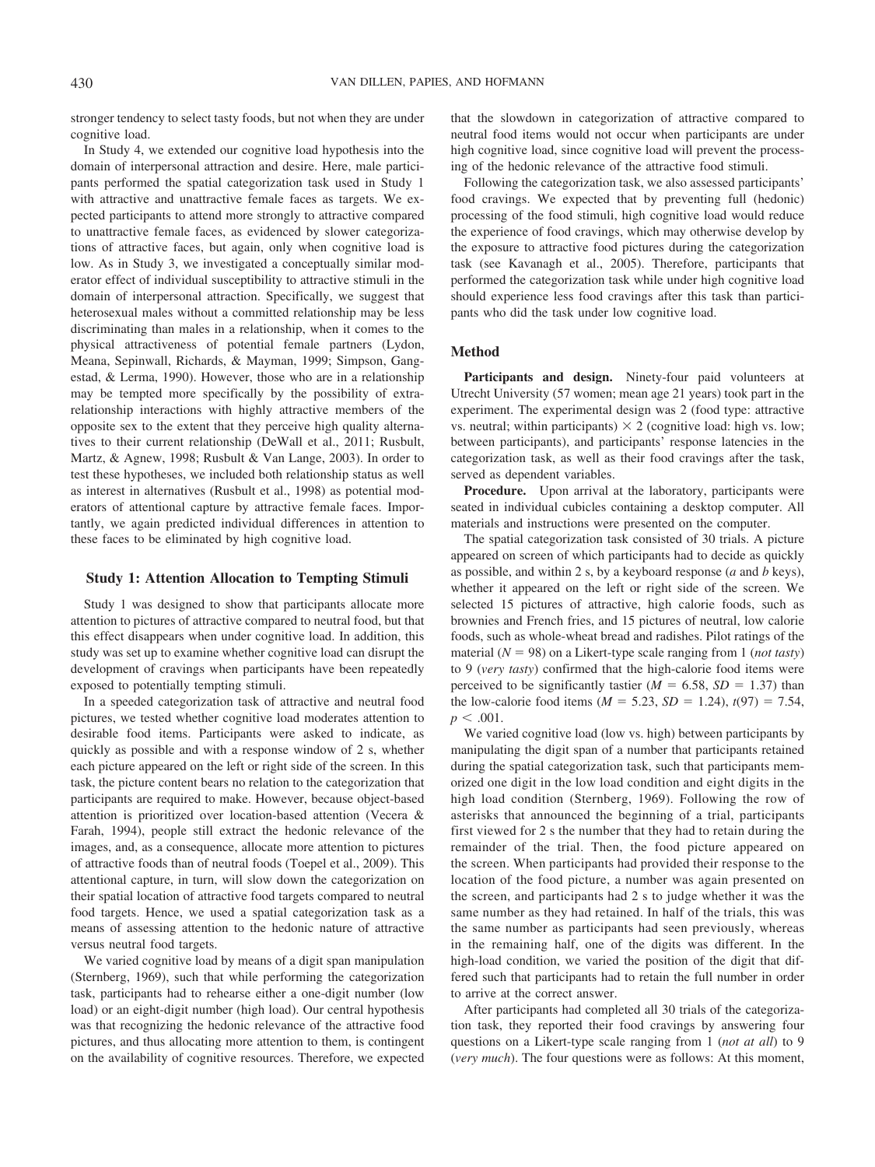stronger tendency to select tasty foods, but not when they are under cognitive load.

In Study 4, we extended our cognitive load hypothesis into the domain of interpersonal attraction and desire. Here, male participants performed the spatial categorization task used in Study 1 with attractive and unattractive female faces as targets. We expected participants to attend more strongly to attractive compared to unattractive female faces, as evidenced by slower categorizations of attractive faces, but again, only when cognitive load is low. As in Study 3, we investigated a conceptually similar moderator effect of individual susceptibility to attractive stimuli in the domain of interpersonal attraction. Specifically, we suggest that heterosexual males without a committed relationship may be less discriminating than males in a relationship, when it comes to the physical attractiveness of potential female partners [\(Lydon,](#page-15-19) [Meana, Sepinwall, Richards, & Mayman, 1999;](#page-15-19) [Simpson, Gang](#page-16-14)[estad, & Lerma, 1990\)](#page-16-14). However, those who are in a relationship may be tempted more specifically by the possibility of extrarelationship interactions with highly attractive members of the opposite sex to the extent that they perceive high quality alternatives to their current relationship [\(DeWall et al., 2011;](#page-14-18) [Rusbult,](#page-15-20) [Martz, & Agnew, 1998;](#page-15-20) [Rusbult & Van Lange, 2003\)](#page-15-21). In order to test these hypotheses, we included both relationship status as well as interest in alternatives [\(Rusbult et al., 1998\)](#page-15-20) as potential moderators of attentional capture by attractive female faces. Importantly, we again predicted individual differences in attention to these faces to be eliminated by high cognitive load.

#### **Study 1: Attention Allocation to Tempting Stimuli**

Study 1 was designed to show that participants allocate more attention to pictures of attractive compared to neutral food, but that this effect disappears when under cognitive load. In addition, this study was set up to examine whether cognitive load can disrupt the development of cravings when participants have been repeatedly exposed to potentially tempting stimuli.

In a speeded categorization task of attractive and neutral food pictures, we tested whether cognitive load moderates attention to desirable food items. Participants were asked to indicate, as quickly as possible and with a response window of 2 s, whether each picture appeared on the left or right side of the screen. In this task, the picture content bears no relation to the categorization that participants are required to make. However, because object-based attention is prioritized over location-based attention [\(Vecera &](#page-16-15) [Farah, 1994\)](#page-16-15), people still extract the hedonic relevance of the images, and, as a consequence, allocate more attention to pictures of attractive foods than of neutral foods [\(Toepel et al., 2009\)](#page-16-13). This attentional capture, in turn, will slow down the categorization on their spatial location of attractive food targets compared to neutral food targets. Hence, we used a spatial categorization task as a means of assessing attention to the hedonic nature of attractive versus neutral food targets.

We varied cognitive load by means of a digit span manipulation [\(Sternberg, 1969\)](#page-16-16), such that while performing the categorization task, participants had to rehearse either a one-digit number (low load) or an eight-digit number (high load). Our central hypothesis was that recognizing the hedonic relevance of the attractive food pictures, and thus allocating more attention to them, is contingent on the availability of cognitive resources. Therefore, we expected that the slowdown in categorization of attractive compared to neutral food items would not occur when participants are under high cognitive load, since cognitive load will prevent the processing of the hedonic relevance of the attractive food stimuli.

Following the categorization task, we also assessed participants' food cravings. We expected that by preventing full (hedonic) processing of the food stimuli, high cognitive load would reduce the experience of food cravings, which may otherwise develop by the exposure to attractive food pictures during the categorization task (see [Kavanagh et al., 2005\)](#page-15-12). Therefore, participants that performed the categorization task while under high cognitive load should experience less food cravings after this task than participants who did the task under low cognitive load.

## **Method**

Participants and design. Ninety-four paid volunteers at Utrecht University (57 women; mean age 21 years) took part in the experiment. The experimental design was 2 (food type: attractive vs. neutral; within participants)  $\times$  2 (cognitive load: high vs. low; between participants), and participants' response latencies in the categorization task, as well as their food cravings after the task, served as dependent variables.

**Procedure.** Upon arrival at the laboratory, participants were seated in individual cubicles containing a desktop computer. All materials and instructions were presented on the computer.

The spatial categorization task consisted of 30 trials. A picture appeared on screen of which participants had to decide as quickly as possible, and within 2 s, by a keyboard response (*a* and *b* keys), whether it appeared on the left or right side of the screen. We selected 15 pictures of attractive, high calorie foods, such as brownies and French fries, and 15 pictures of neutral, low calorie foods, such as whole-wheat bread and radishes. Pilot ratings of the material  $(N = 98)$  on a Likert-type scale ranging from 1 (*not tasty*) to 9 (*very tasty*) confirmed that the high-calorie food items were perceived to be significantly tastier  $(M = 6.58, SD = 1.37)$  than the low-calorie food items ( $M = 5.23$ ,  $SD = 1.24$ ),  $t(97) = 7.54$ ,  $p < .001$ .

We varied cognitive load (low vs. high) between participants by manipulating the digit span of a number that participants retained during the spatial categorization task, such that participants memorized one digit in the low load condition and eight digits in the high load condition [\(Sternberg, 1969\)](#page-16-16). Following the row of asterisks that announced the beginning of a trial, participants first viewed for 2 s the number that they had to retain during the remainder of the trial. Then, the food picture appeared on the screen. When participants had provided their response to the location of the food picture, a number was again presented on the screen, and participants had 2 s to judge whether it was the same number as they had retained. In half of the trials, this was the same number as participants had seen previously, whereas in the remaining half, one of the digits was different. In the high-load condition, we varied the position of the digit that differed such that participants had to retain the full number in order to arrive at the correct answer.

After participants had completed all 30 trials of the categorization task, they reported their food cravings by answering four questions on a Likert-type scale ranging from 1 (*not at all*) to 9 (*very much*). The four questions were as follows: At this moment,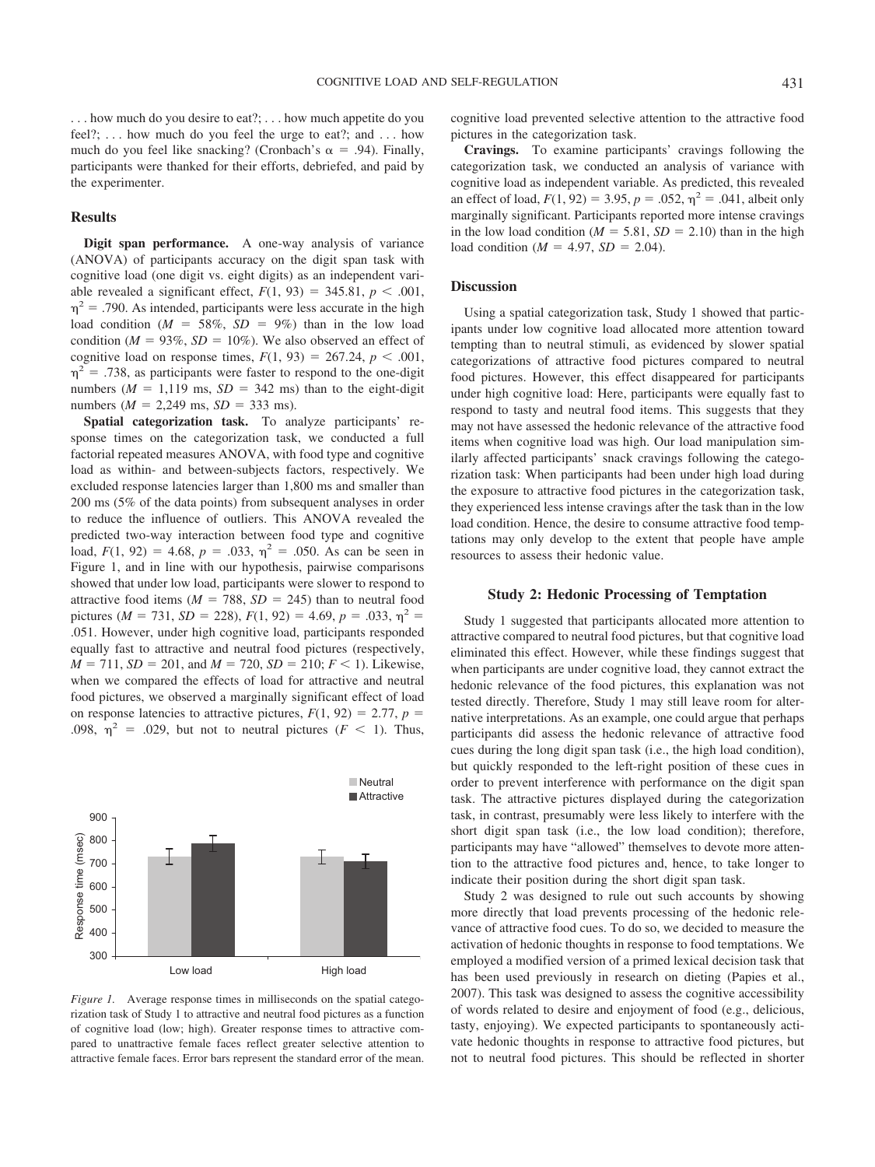. . . how much do you desire to eat?; . . . how much appetite do you feel?; . . . how much do you feel the urge to eat?; and . . . how much do you feel like snacking? (Cronbach's  $\alpha = .94$ ). Finally, participants were thanked for their efforts, debriefed, and paid by the experimenter.

## **Results**

**Digit span performance.** A one-way analysis of variance (ANOVA) of participants accuracy on the digit span task with cognitive load (one digit vs. eight digits) as an independent variable revealed a significant effect,  $F(1, 93) = 345.81$ ,  $p < .001$ ,  $\eta^2$  = .790. As intended, participants were less accurate in the high load condition  $(M = 58\%, SD = 9\%)$  than in the low load condition ( $M = 93\%$ ,  $SD = 10\%$ ). We also observed an effect of cognitive load on response times,  $F(1, 93) = 267.24$ ,  $p < .001$ ,  $\eta^2$  = .738, as participants were faster to respond to the one-digit numbers ( $M = 1,119$  ms,  $SD = 342$  ms) than to the eight-digit numbers ( $M = 2,249$  ms,  $SD = 333$  ms).

**Spatial categorization task.** To analyze participants' response times on the categorization task, we conducted a full factorial repeated measures ANOVA, with food type and cognitive load as within- and between-subjects factors, respectively. We excluded response latencies larger than 1,800 ms and smaller than 200 ms (5% of the data points) from subsequent analyses in order to reduce the influence of outliers. This ANOVA revealed the predicted two-way interaction between food type and cognitive load,  $F(1, 92) = 4.68$ ,  $p = .033$ ,  $\eta^2 = .050$ . As can be seen in [Figure 1,](#page-4-0) and in line with our hypothesis, pairwise comparisons showed that under low load, participants were slower to respond to attractive food items ( $M = 788$ ,  $SD = 245$ ) than to neutral food pictures ( $M = 731$ ,  $SD = 228$ ),  $F(1, 92) = 4.69$ ,  $p = .033$ ,  $\eta^2 =$ .051. However, under high cognitive load, participants responded equally fast to attractive and neutral food pictures (respectively,  $M = 711$ ,  $SD = 201$ , and  $M = 720$ ,  $SD = 210$ ;  $F < 1$ ). Likewise, when we compared the effects of load for attractive and neutral food pictures, we observed a marginally significant effect of load on response latencies to attractive pictures,  $F(1, 92) = 2.77$ ,  $p =$ .098,  $\eta^2$  = .029, but not to neutral pictures ( $F < 1$ ). Thus,



<span id="page-4-0"></span>*Figure 1.* Average response times in milliseconds on the spatial categorization task of Study 1 to attractive and neutral food pictures as a function of cognitive load (low; high). Greater response times to attractive compared to unattractive female faces reflect greater selective attention to attractive female faces. Error bars represent the standard error of the mean.

cognitive load prevented selective attention to the attractive food pictures in the categorization task.

**Cravings.** To examine participants' cravings following the categorization task, we conducted an analysis of variance with cognitive load as independent variable. As predicted, this revealed an effect of load,  $F(1, 92) = 3.95$ ,  $p = .052$ ,  $\eta^2 = .041$ , albeit only marginally significant. Participants reported more intense cravings in the low load condition ( $M = 5.81$ ,  $SD = 2.10$ ) than in the high load condition ( $M = 4.97$ ,  $SD = 2.04$ ).

#### **Discussion**

Using a spatial categorization task, Study 1 showed that participants under low cognitive load allocated more attention toward tempting than to neutral stimuli, as evidenced by slower spatial categorizations of attractive food pictures compared to neutral food pictures. However, this effect disappeared for participants under high cognitive load: Here, participants were equally fast to respond to tasty and neutral food items. This suggests that they may not have assessed the hedonic relevance of the attractive food items when cognitive load was high. Our load manipulation similarly affected participants' snack cravings following the categorization task: When participants had been under high load during the exposure to attractive food pictures in the categorization task, they experienced less intense cravings after the task than in the low load condition. Hence, the desire to consume attractive food temptations may only develop to the extent that people have ample resources to assess their hedonic value.

## **Study 2: Hedonic Processing of Temptation**

Study 1 suggested that participants allocated more attention to attractive compared to neutral food pictures, but that cognitive load eliminated this effect. However, while these findings suggest that when participants are under cognitive load, they cannot extract the hedonic relevance of the food pictures, this explanation was not tested directly. Therefore, Study 1 may still leave room for alternative interpretations. As an example, one could argue that perhaps participants did assess the hedonic relevance of attractive food cues during the long digit span task (i.e., the high load condition), but quickly responded to the left-right position of these cues in order to prevent interference with performance on the digit span task. The attractive pictures displayed during the categorization task, in contrast, presumably were less likely to interfere with the short digit span task (i.e., the low load condition); therefore, participants may have "allowed" themselves to devote more attention to the attractive food pictures and, hence, to take longer to indicate their position during the short digit span task.

Study 2 was designed to rule out such accounts by showing more directly that load prevents processing of the hedonic relevance of attractive food cues. To do so, we decided to measure the activation of hedonic thoughts in response to food temptations. We employed a modified version of a primed lexical decision task that has been used previously in research on dieting [\(Papies et al.,](#page-15-9) [2007\)](#page-15-9). This task was designed to assess the cognitive accessibility of words related to desire and enjoyment of food (e.g., delicious, tasty, enjoying). We expected participants to spontaneously activate hedonic thoughts in response to attractive food pictures, but not to neutral food pictures. This should be reflected in shorter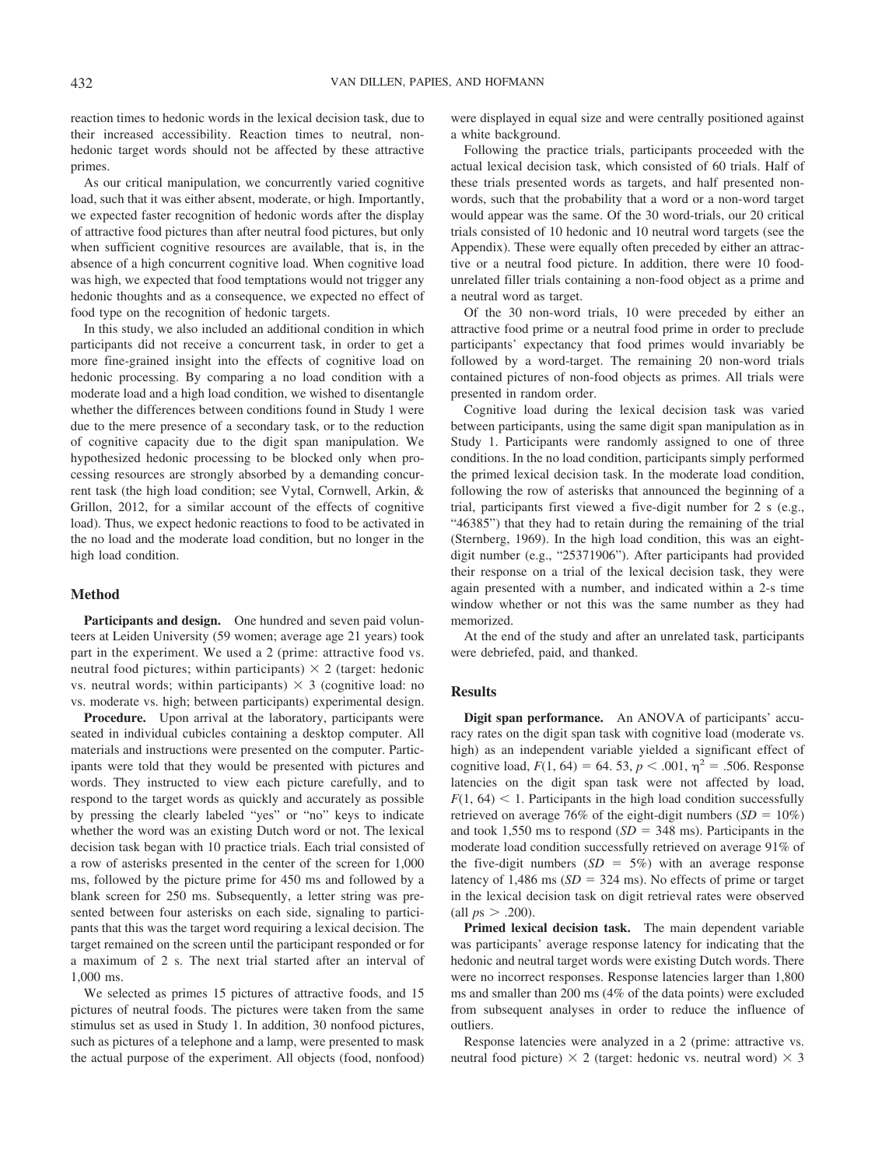reaction times to hedonic words in the lexical decision task, due to their increased accessibility. Reaction times to neutral, nonhedonic target words should not be affected by these attractive primes.

As our critical manipulation, we concurrently varied cognitive load, such that it was either absent, moderate, or high. Importantly, we expected faster recognition of hedonic words after the display of attractive food pictures than after neutral food pictures, but only when sufficient cognitive resources are available, that is, in the absence of a high concurrent cognitive load. When cognitive load was high, we expected that food temptations would not trigger any hedonic thoughts and as a consequence, we expected no effect of food type on the recognition of hedonic targets.

In this study, we also included an additional condition in which participants did not receive a concurrent task, in order to get a more fine-grained insight into the effects of cognitive load on hedonic processing. By comparing a no load condition with a moderate load and a high load condition, we wished to disentangle whether the differences between conditions found in Study 1 were due to the mere presence of a secondary task, or to the reduction of cognitive capacity due to the digit span manipulation. We hypothesized hedonic processing to be blocked only when processing resources are strongly absorbed by a demanding concurrent task (the high load condition; see [Vytal, Cornwell, Arkin, &](#page-16-17) [Grillon, 2012,](#page-16-17) for a similar account of the effects of cognitive load). Thus, we expect hedonic reactions to food to be activated in the no load and the moderate load condition, but no longer in the high load condition.

## **Method**

**Participants and design.** One hundred and seven paid volunteers at Leiden University (59 women; average age 21 years) took part in the experiment. We used a 2 (prime: attractive food vs. neutral food pictures; within participants)  $\times$  2 (target: hedonic vs. neutral words; within participants)  $\times$  3 (cognitive load: no vs. moderate vs. high; between participants) experimental design.

**Procedure.** Upon arrival at the laboratory, participants were seated in individual cubicles containing a desktop computer. All materials and instructions were presented on the computer. Participants were told that they would be presented with pictures and words. They instructed to view each picture carefully, and to respond to the target words as quickly and accurately as possible by pressing the clearly labeled "yes" or "no" keys to indicate whether the word was an existing Dutch word or not. The lexical decision task began with 10 practice trials. Each trial consisted of a row of asterisks presented in the center of the screen for 1,000 ms, followed by the picture prime for 450 ms and followed by a blank screen for 250 ms. Subsequently, a letter string was presented between four asterisks on each side, signaling to participants that this was the target word requiring a lexical decision. The target remained on the screen until the participant responded or for a maximum of 2 s. The next trial started after an interval of 1,000 ms.

We selected as primes 15 pictures of attractive foods, and 15 pictures of neutral foods. The pictures were taken from the same stimulus set as used in Study 1. In addition, 30 nonfood pictures, such as pictures of a telephone and a lamp, were presented to mask the actual purpose of the experiment. All objects (food, nonfood)

were displayed in equal size and were centrally positioned against a white background.

Following the practice trials, participants proceeded with the actual lexical decision task, which consisted of 60 trials. Half of these trials presented words as targets, and half presented nonwords, such that the probability that a word or a non-word target would appear was the same. Of the 30 word-trials, our 20 critical trials consisted of 10 hedonic and 10 neutral word targets (see the Appendix). These were equally often preceded by either an attractive or a neutral food picture. In addition, there were 10 foodunrelated filler trials containing a non-food object as a prime and a neutral word as target.

Of the 30 non-word trials, 10 were preceded by either an attractive food prime or a neutral food prime in order to preclude participants' expectancy that food primes would invariably be followed by a word-target. The remaining 20 non-word trials contained pictures of non-food objects as primes. All trials were presented in random order.

Cognitive load during the lexical decision task was varied between participants, using the same digit span manipulation as in Study 1. Participants were randomly assigned to one of three conditions. In the no load condition, participants simply performed the primed lexical decision task. In the moderate load condition, following the row of asterisks that announced the beginning of a trial, participants first viewed a five-digit number for 2 s (e.g., "46385") that they had to retain during the remaining of the trial [\(Sternberg, 1969\)](#page-16-16). In the high load condition, this was an eightdigit number (e.g., "25371906"). After participants had provided their response on a trial of the lexical decision task, they were again presented with a number, and indicated within a 2-s time window whether or not this was the same number as they had memorized.

At the end of the study and after an unrelated task, participants were debriefed, paid, and thanked.

## **Results**

**Digit span performance.** An ANOVA of participants' accuracy rates on the digit span task with cognitive load (moderate vs. high) as an independent variable yielded a significant effect of cognitive load,  $F(1, 64) = 64$ . 53,  $p < .001$ ,  $\eta^2 = .506$ . Response latencies on the digit span task were not affected by load,  $F(1, 64)$  < 1. Participants in the high load condition successfully retrieved on average 76% of the eight-digit numbers  $(SD = 10\%)$ and took 1,550 ms to respond  $(SD = 348 \text{ ms})$ . Participants in the moderate load condition successfully retrieved on average 91% of the five-digit numbers  $(SD = 5\%)$  with an average response latency of  $1,486 \text{ ms } (SD = 324 \text{ ms})$ . No effects of prime or target in the lexical decision task on digit retrieval rates were observed (all  $ps > .200$ ).

**Primed lexical decision task.** The main dependent variable was participants' average response latency for indicating that the hedonic and neutral target words were existing Dutch words. There were no incorrect responses. Response latencies larger than 1,800 ms and smaller than 200 ms (4% of the data points) were excluded from subsequent analyses in order to reduce the influence of outliers.

Response latencies were analyzed in a 2 (prime: attractive vs. neutral food picture)  $\times$  2 (target: hedonic vs. neutral word)  $\times$  3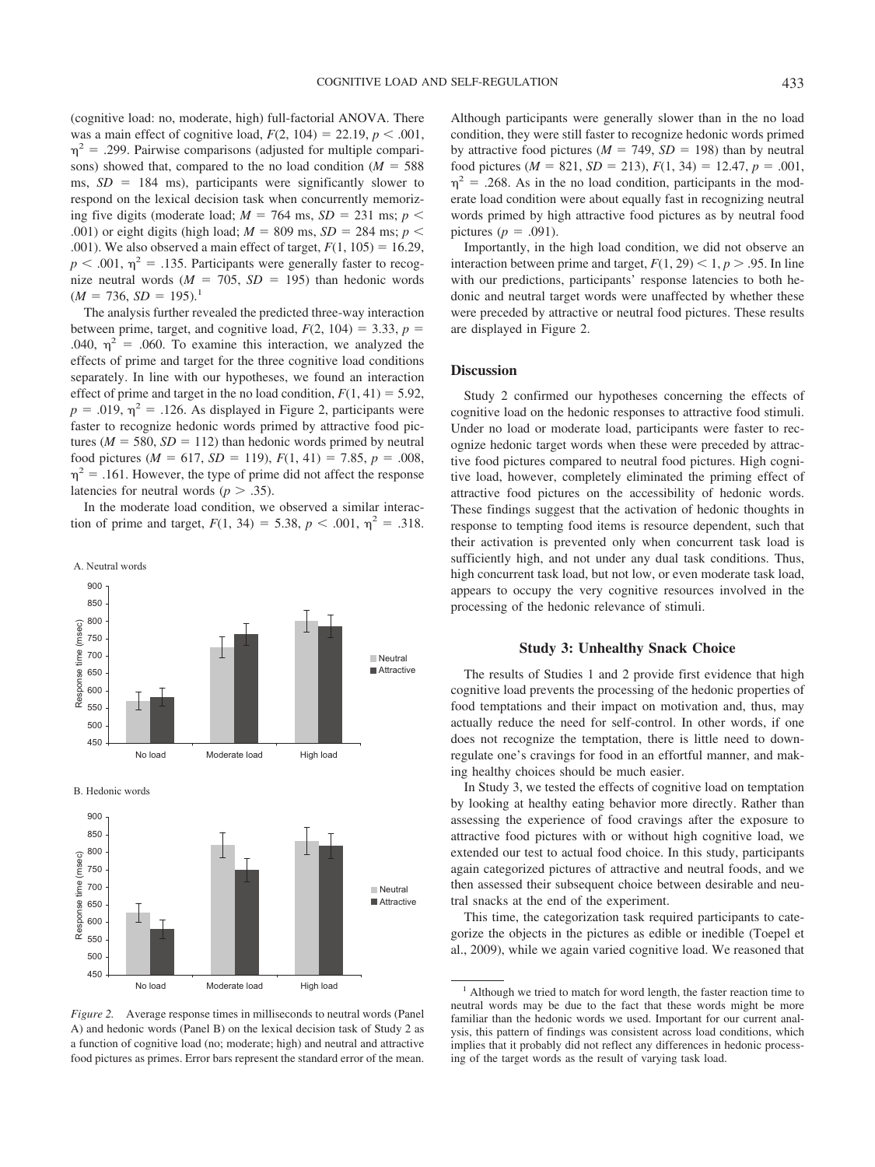(cognitive load: no, moderate, high) full-factorial ANOVA. There was a main effect of cognitive load,  $F(2, 104) = 22.19, p < .001$ ,  $\eta^2$  = .299. Pairwise comparisons (adjusted for multiple comparisons) showed that, compared to the no load condition  $(M = 588)$ ms,  $SD = 184$  ms), participants were significantly slower to respond on the lexical decision task when concurrently memorizing five digits (moderate load;  $M = 764$  ms,  $SD = 231$  ms;  $p <$ .001) or eight digits (high load;  $M = 809$  ms,  $SD = 284$  ms;  $p <$ .001). We also observed a main effect of target,  $F(1, 105) = 16.29$ ,  $p < .001$ ,  $\eta^2 = .135$ . Participants were generally faster to recognize neutral words  $(M = 705, SD = 195)$  than hedonic words  $(M = 736, SD = 195).$ <sup>1</sup>

The analysis further revealed the predicted three-way interaction between prime, target, and cognitive load,  $F(2, 104) = 3.33$ ,  $p =$ .040,  $\eta^2$  = .060. To examine this interaction, we analyzed the effects of prime and target for the three cognitive load conditions separately. In line with our hypotheses, we found an interaction effect of prime and target in the no load condition,  $F(1, 41) = 5.92$ ,  $p = .019$ ,  $\eta^2 = .126$ . As displayed in [Figure 2,](#page-6-0) participants were faster to recognize hedonic words primed by attractive food pictures ( $M = 580$ ,  $SD = 112$ ) than hedonic words primed by neutral food pictures ( $M = 617$ ,  $SD = 119$ ),  $F(1, 41) = 7.85$ ,  $p = .008$ ,  $\eta^2$  = .161. However, the type of prime did not affect the response latencies for neutral words ( $p > .35$ ).

In the moderate load condition, we observed a similar interaction of prime and target,  $F(1, 34) = 5.38$ ,  $p < .001$ ,  $\eta^2 = .318$ .



<span id="page-6-0"></span>*Figure 2.* Average response times in milliseconds to neutral words (Panel A) and hedonic words (Panel B) on the lexical decision task of Study 2 as a function of cognitive load (no; moderate; high) and neutral and attractive food pictures as primes. Error bars represent the standard error of the mean.

Although participants were generally slower than in the no load condition, they were still faster to recognize hedonic words primed by attractive food pictures ( $M = 749$ ,  $SD = 198$ ) than by neutral food pictures ( $M = 821$ ,  $SD = 213$ ),  $F(1, 34) = 12.47$ ,  $p = .001$ ,  $\eta^2$  = .268. As in the no load condition, participants in the moderate load condition were about equally fast in recognizing neutral words primed by high attractive food pictures as by neutral food pictures ( $p = .091$ ).

Importantly, in the high load condition, we did not observe an interaction between prime and target,  $F(1, 29) < 1, p > .95$ . In line with our predictions, participants' response latencies to both hedonic and neutral target words were unaffected by whether these were preceded by attractive or neutral food pictures. These results are displayed in [Figure 2.](#page-6-0)

## **Discussion**

Study 2 confirmed our hypotheses concerning the effects of cognitive load on the hedonic responses to attractive food stimuli. Under no load or moderate load, participants were faster to recognize hedonic target words when these were preceded by attractive food pictures compared to neutral food pictures. High cognitive load, however, completely eliminated the priming effect of attractive food pictures on the accessibility of hedonic words. These findings suggest that the activation of hedonic thoughts in response to tempting food items is resource dependent, such that their activation is prevented only when concurrent task load is sufficiently high, and not under any dual task conditions. Thus, high concurrent task load, but not low, or even moderate task load, appears to occupy the very cognitive resources involved in the processing of the hedonic relevance of stimuli.

# **Study 3: Unhealthy Snack Choice**

The results of Studies 1 and 2 provide first evidence that high cognitive load prevents the processing of the hedonic properties of food temptations and their impact on motivation and, thus, may actually reduce the need for self-control. In other words, if one does not recognize the temptation, there is little need to downregulate one's cravings for food in an effortful manner, and making healthy choices should be much easier.

In Study 3, we tested the effects of cognitive load on temptation by looking at healthy eating behavior more directly. Rather than assessing the experience of food cravings after the exposure to attractive food pictures with or without high cognitive load, we extended our test to actual food choice. In this study, participants again categorized pictures of attractive and neutral foods, and we then assessed their subsequent choice between desirable and neutral snacks at the end of the experiment.

This time, the categorization task required participants to categorize the objects in the pictures as edible or inedible [\(Toepel et](#page-16-13) [al., 2009\)](#page-16-13), while we again varied cognitive load. We reasoned that

 $<sup>1</sup>$  Although we tried to match for word length, the faster reaction time to</sup> neutral words may be due to the fact that these words might be more familiar than the hedonic words we used. Important for our current analysis, this pattern of findings was consistent across load conditions, which implies that it probably did not reflect any differences in hedonic processing of the target words as the result of varying task load.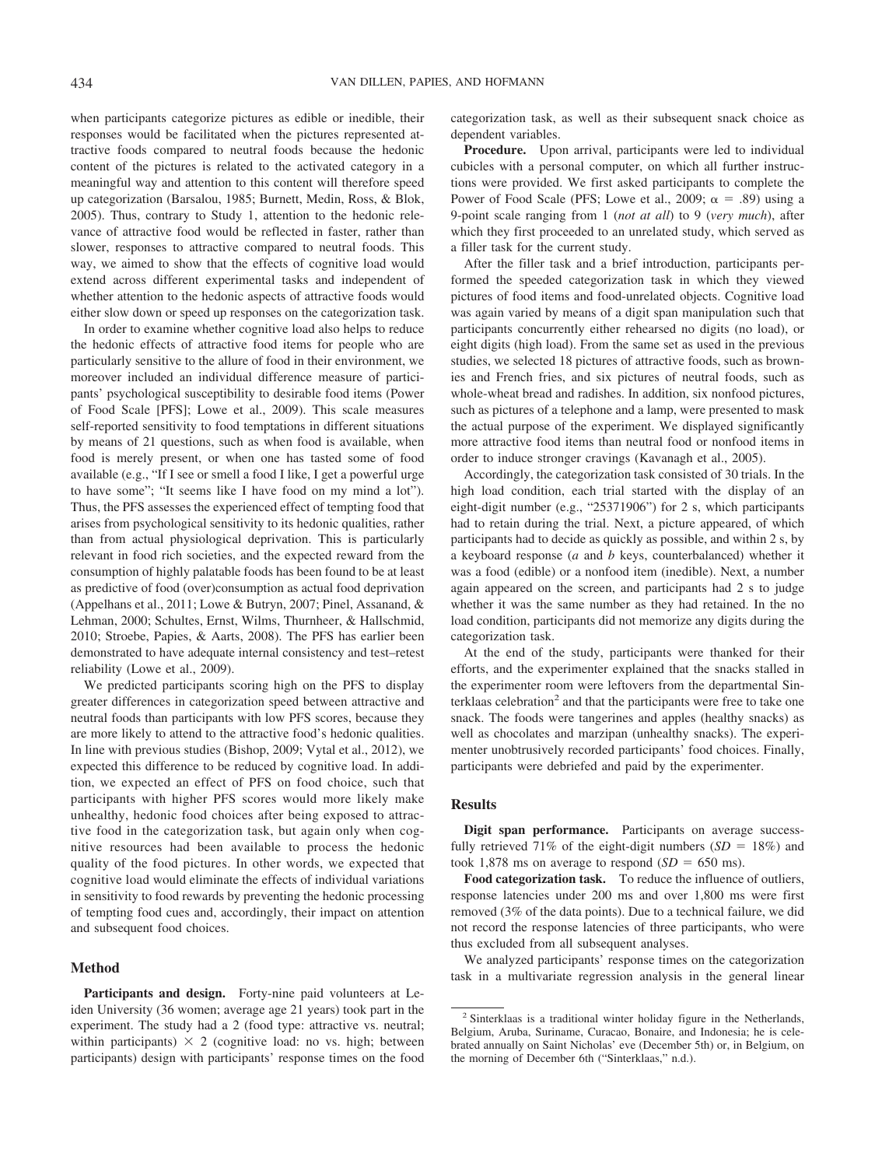when participants categorize pictures as edible or inedible, their responses would be facilitated when the pictures represented attractive foods compared to neutral foods because the hedonic content of the pictures is related to the activated category in a meaningful way and attention to this content will therefore speed up categorization [\(Barsalou, 1985;](#page-14-19) [Burnett, Medin, Ross, & Blok,](#page-14-20) [2005\)](#page-14-20). Thus, contrary to Study 1, attention to the hedonic relevance of attractive food would be reflected in faster, rather than slower, responses to attractive compared to neutral foods. This way, we aimed to show that the effects of cognitive load would extend across different experimental tasks and independent of whether attention to the hedonic aspects of attractive foods would either slow down or speed up responses on the categorization task.

In order to examine whether cognitive load also helps to reduce the hedonic effects of attractive food items for people who are particularly sensitive to the allure of food in their environment, we moreover included an individual difference measure of participants' psychological susceptibility to desirable food items (Power of Food Scale [PFS]; [Lowe et al., 2009\)](#page-15-18). This scale measures self-reported sensitivity to food temptations in different situations by means of 21 questions, such as when food is available, when food is merely present, or when one has tasted some of food available (e.g., "If I see or smell a food I like, I get a powerful urge to have some"; "It seems like I have food on my mind a lot"). Thus, the PFS assesses the experienced effect of tempting food that arises from psychological sensitivity to its hedonic qualities, rather than from actual physiological deprivation. This is particularly relevant in food rich societies, and the expected reward from the consumption of highly palatable foods has been found to be at least as predictive of food (over)consumption as actual food deprivation [\(Appelhans et al., 2011;](#page-14-21) [Lowe & Butryn, 2007;](#page-15-22) [Pinel, Assanand, &](#page-15-23) [Lehman, 2000;](#page-15-23) [Schultes, Ernst, Wilms, Thurnheer, & Hallschmid,](#page-15-24) [2010;](#page-15-24) [Stroebe, Papies, & Aarts, 2008\)](#page-16-18). The PFS has earlier been demonstrated to have adequate internal consistency and test–retest reliability [\(Lowe et al., 2009\)](#page-15-18).

We predicted participants scoring high on the PFS to display greater differences in categorization speed between attractive and neutral foods than participants with low PFS scores, because they are more likely to attend to the attractive food's hedonic qualities. In line with previous studies [\(Bishop, 2009;](#page-14-22) [Vytal et al., 2012\)](#page-16-17), we expected this difference to be reduced by cognitive load. In addition, we expected an effect of PFS on food choice, such that participants with higher PFS scores would more likely make unhealthy, hedonic food choices after being exposed to attractive food in the categorization task, but again only when cognitive resources had been available to process the hedonic quality of the food pictures. In other words, we expected that cognitive load would eliminate the effects of individual variations in sensitivity to food rewards by preventing the hedonic processing of tempting food cues and, accordingly, their impact on attention and subsequent food choices.

#### **Method**

**Participants and design.** Forty-nine paid volunteers at Leiden University (36 women; average age 21 years) took part in the experiment. The study had a 2 (food type: attractive vs. neutral; within participants)  $\times$  2 (cognitive load: no vs. high; between participants) design with participants' response times on the food categorization task, as well as their subsequent snack choice as dependent variables.

**Procedure.** Upon arrival, participants were led to individual cubicles with a personal computer, on which all further instructions were provided. We first asked participants to complete the Power of Food Scale (PFS; [Lowe et al., 2009;](#page-15-18)  $\alpha = .89$ ) using a 9-point scale ranging from 1 (*not at all*) to 9 (*very much*), after which they first proceeded to an unrelated study, which served as a filler task for the current study.

After the filler task and a brief introduction, participants performed the speeded categorization task in which they viewed pictures of food items and food-unrelated objects. Cognitive load was again varied by means of a digit span manipulation such that participants concurrently either rehearsed no digits (no load), or eight digits (high load). From the same set as used in the previous studies, we selected 18 pictures of attractive foods, such as brownies and French fries, and six pictures of neutral foods, such as whole-wheat bread and radishes. In addition, six nonfood pictures, such as pictures of a telephone and a lamp, were presented to mask the actual purpose of the experiment. We displayed significantly more attractive food items than neutral food or nonfood items in order to induce stronger cravings [\(Kavanagh et al., 2005\)](#page-15-12).

Accordingly, the categorization task consisted of 30 trials. In the high load condition, each trial started with the display of an eight-digit number (e.g., "25371906") for 2 s, which participants had to retain during the trial. Next, a picture appeared, of which participants had to decide as quickly as possible, and within 2 s, by a keyboard response (*a* and *b* keys, counterbalanced) whether it was a food (edible) or a nonfood item (inedible). Next, a number again appeared on the screen, and participants had 2 s to judge whether it was the same number as they had retained. In the no load condition, participants did not memorize any digits during the categorization task.

At the end of the study, participants were thanked for their efforts, and the experimenter explained that the snacks stalled in the experimenter room were leftovers from the departmental Sinterklaas celebration<sup>2</sup> and that the participants were free to take one snack. The foods were tangerines and apples (healthy snacks) as well as chocolates and marzipan (unhealthy snacks). The experimenter unobtrusively recorded participants' food choices. Finally, participants were debriefed and paid by the experimenter.

#### **Results**

**Digit span performance.** Participants on average successfully retrieved 71% of the eight-digit numbers  $(SD = 18\%)$  and took 1,878 ms on average to respond  $(SD = 650 \text{ ms})$ .

**Food categorization task.** To reduce the influence of outliers, response latencies under 200 ms and over 1,800 ms were first removed (3% of the data points). Due to a technical failure, we did not record the response latencies of three participants, who were thus excluded from all subsequent analyses.

We analyzed participants' response times on the categorization task in a multivariate regression analysis in the general linear

<sup>2</sup> Sinterklaas is a traditional winter holiday figure in the Netherlands, Belgium, Aruba, Suriname, Curacao, Bonaire, and Indonesia; he is celebrated annually on Saint Nicholas' eve (December 5th) or, in Belgium, on the morning of December 6th ("Sinterklaas," n.d.).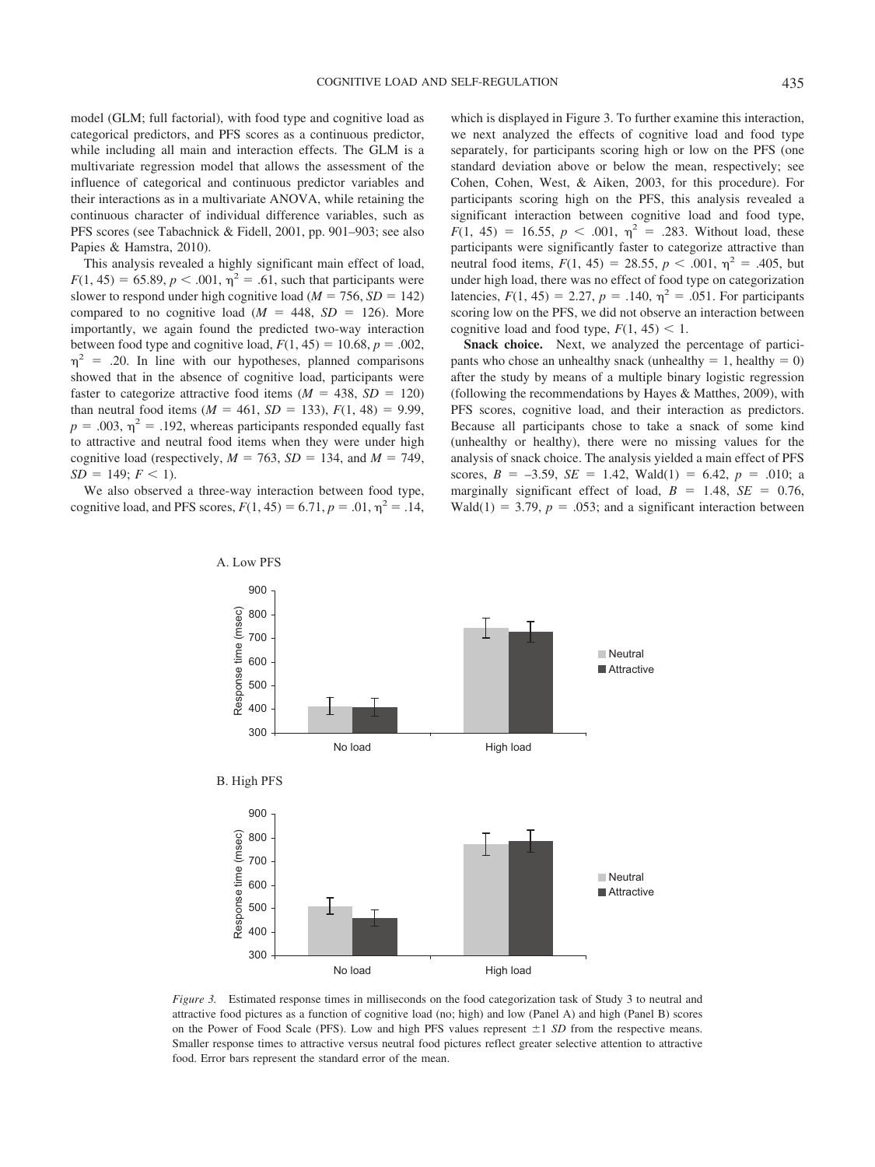model (GLM; full factorial), with food type and cognitive load as categorical predictors, and PFS scores as a continuous predictor, while including all main and interaction effects. The GLM is a multivariate regression model that allows the assessment of the influence of categorical and continuous predictor variables and their interactions as in a multivariate ANOVA, while retaining the continuous character of individual difference variables, such as PFS scores (see [Tabachnick & Fidell, 2001, pp. 901–](#page-16-19)903; see also [Papies & Hamstra, 2010\)](#page-15-2).

This analysis revealed a highly significant main effect of load,  $F(1, 45) = 65.89, p < .001, \eta^2 = .61$ , such that participants were slower to respond under high cognitive load ( $M = 756$ ,  $SD = 142$ ) compared to no cognitive load  $(M = 448, SD = 126)$ . More importantly, we again found the predicted two-way interaction between food type and cognitive load,  $F(1, 45) = 10.68$ ,  $p = .002$ ,  $\eta^2$  = .20. In line with our hypotheses, planned comparisons showed that in the absence of cognitive load, participants were faster to categorize attractive food items  $(M = 438, SD = 120)$ than neutral food items  $(M = 461, SD = 133)$ ,  $F(1, 48) = 9.99$ ,  $p = .003$ ,  $\eta^2 = .192$ , whereas participants responded equally fast to attractive and neutral food items when they were under high cognitive load (respectively,  $M = 763$ ,  $SD = 134$ , and  $M = 749$ ,  $SD = 149; F < 1$ ).

We also observed a three-way interaction between food type, cognitive load, and PFS scores,  $F(1, 45) = 6.71$ ,  $p = .01$ ,  $\eta^2 = .14$ ,

which is displayed in [Figure 3.](#page-8-0) To further examine this interaction, we next analyzed the effects of cognitive load and food type separately, for participants scoring high or low on the PFS (one standard deviation above or below the mean, respectively; see [Cohen, Cohen, West, & Aiken, 2003,](#page-14-23) for this procedure). For participants scoring high on the PFS, this analysis revealed a significant interaction between cognitive load and food type,  $F(1, 45) = 16.55, p < .001, \eta^2 = .283$ . Without load, these participants were significantly faster to categorize attractive than neutral food items,  $F(1, 45) = 28.55$ ,  $p < .001$ ,  $\eta^2 = .405$ , but under high load, there was no effect of food type on categorization latencies,  $F(1, 45) = 2.27$ ,  $p = .140$ ,  $\eta^2 = .051$ . For participants scoring low on the PFS, we did not observe an interaction between cognitive load and food type,  $F(1, 45) < 1$ .

**Snack choice.** Next, we analyzed the percentage of participants who chose an unhealthy snack (unhealthy  $= 1$ , healthy  $= 0$ ) after the study by means of a multiple binary logistic regression (following the recommendations by [Hayes & Matthes, 2009\)](#page-15-25), with PFS scores, cognitive load, and their interaction as predictors. Because all participants chose to take a snack of some kind (unhealthy or healthy), there were no missing values for the analysis of snack choice. The analysis yielded a main effect of PFS scores,  $B = -3.59$ ,  $SE = 1.42$ , Wald(1) = 6.42,  $p = .010$ ; a marginally significant effect of load,  $B = 1.48$ ,  $SE = 0.76$ ,  $Wald(1) = 3.79, p = .053$ ; and a significant interaction between



<span id="page-8-0"></span>*Figure 3.* Estimated response times in milliseconds on the food categorization task of Study 3 to neutral and attractive food pictures as a function of cognitive load (no; high) and low (Panel A) and high (Panel B) scores on the Power of Food Scale (PFS). Low and high PFS values represent  $\pm 1$  SD from the respective means. Smaller response times to attractive versus neutral food pictures reflect greater selective attention to attractive food. Error bars represent the standard error of the mean.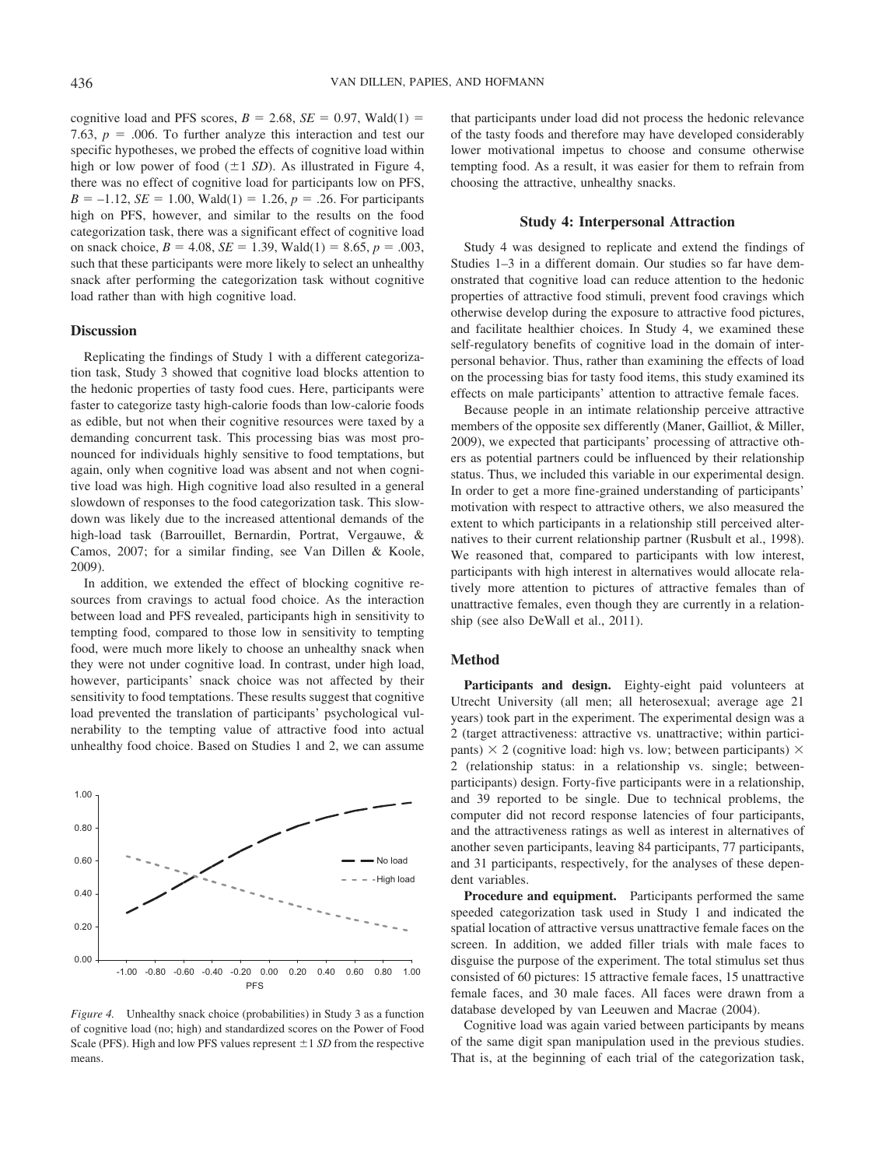cognitive load and PFS scores,  $B = 2.68$ ,  $SE = 0.97$ , Wald(1) = 7.63,  $p = 0.006$ . To further analyze this interaction and test our specific hypotheses, we probed the effects of cognitive load within high or low power of food  $(\pm 1 \text{ SD})$ . As illustrated in [Figure 4,](#page-9-0) there was no effect of cognitive load for participants low on PFS,  $B = -1.12$ ,  $SE = 1.00$ , Wald(1) = 1.26,  $p = .26$ . For participants high on PFS, however, and similar to the results on the food categorization task, there was a significant effect of cognitive load on snack choice,  $B = 4.08$ ,  $SE = 1.39$ , Wald(1) = 8.65,  $p = .003$ , such that these participants were more likely to select an unhealthy snack after performing the categorization task without cognitive load rather than with high cognitive load.

#### **Discussion**

Replicating the findings of Study 1 with a different categorization task, Study 3 showed that cognitive load blocks attention to the hedonic properties of tasty food cues. Here, participants were faster to categorize tasty high-calorie foods than low-calorie foods as edible, but not when their cognitive resources were taxed by a demanding concurrent task. This processing bias was most pronounced for individuals highly sensitive to food temptations, but again, only when cognitive load was absent and not when cognitive load was high. High cognitive load also resulted in a general slowdown of responses to the food categorization task. This slowdown was likely due to the increased attentional demands of the high-load task [\(Barrouillet, Bernardin, Portrat, Vergauwe, &](#page-14-24) [Camos, 2007;](#page-14-24) for a similar finding, see [Van Dillen & Koole,](#page-16-9) [2009\)](#page-16-9).

In addition, we extended the effect of blocking cognitive resources from cravings to actual food choice. As the interaction between load and PFS revealed, participants high in sensitivity to tempting food, compared to those low in sensitivity to tempting food, were much more likely to choose an unhealthy snack when they were not under cognitive load. In contrast, under high load, however, participants' snack choice was not affected by their sensitivity to food temptations. These results suggest that cognitive load prevented the translation of participants' psychological vulnerability to the tempting value of attractive food into actual unhealthy food choice. Based on Studies 1 and 2, we can assume



<span id="page-9-0"></span>*Figure 4.* Unhealthy snack choice (probabilities) in Study 3 as a function of cognitive load (no; high) and standardized scores on the Power of Food Scale (PFS). High and low PFS values represent  $\pm 1$  *SD* from the respective means.

that participants under load did not process the hedonic relevance of the tasty foods and therefore may have developed considerably lower motivational impetus to choose and consume otherwise tempting food. As a result, it was easier for them to refrain from choosing the attractive, unhealthy snacks.

#### **Study 4: Interpersonal Attraction**

Study 4 was designed to replicate and extend the findings of Studies 1–3 in a different domain. Our studies so far have demonstrated that cognitive load can reduce attention to the hedonic properties of attractive food stimuli, prevent food cravings which otherwise develop during the exposure to attractive food pictures, and facilitate healthier choices. In Study 4, we examined these self-regulatory benefits of cognitive load in the domain of interpersonal behavior. Thus, rather than examining the effects of load on the processing bias for tasty food items, this study examined its effects on male participants' attention to attractive female faces.

Because people in an intimate relationship perceive attractive members of the opposite sex differently [\(Maner, Gailliot, & Miller,](#page-15-26) [2009\)](#page-15-26), we expected that participants' processing of attractive others as potential partners could be influenced by their relationship status. Thus, we included this variable in our experimental design. In order to get a more fine-grained understanding of participants' motivation with respect to attractive others, we also measured the extent to which participants in a relationship still perceived alternatives to their current relationship partner [\(Rusbult et al., 1998\)](#page-15-20). We reasoned that, compared to participants with low interest, participants with high interest in alternatives would allocate relatively more attention to pictures of attractive females than of unattractive females, even though they are currently in a relationship (see also [DeWall et al., 2011\)](#page-14-18).

## **Method**

**Participants and design.** Eighty-eight paid volunteers at Utrecht University (all men; all heterosexual; average age 21 years) took part in the experiment. The experimental design was a 2 (target attractiveness: attractive vs. unattractive; within participants)  $\times$  2 (cognitive load: high vs. low; between participants)  $\times$ 2 (relationship status: in a relationship vs. single; betweenparticipants) design. Forty-five participants were in a relationship, and 39 reported to be single. Due to technical problems, the computer did not record response latencies of four participants, and the attractiveness ratings as well as interest in alternatives of another seven participants, leaving 84 participants, 77 participants, and 31 participants, respectively, for the analyses of these dependent variables.

**Procedure and equipment.** Participants performed the same speeded categorization task used in Study 1 and indicated the spatial location of attractive versus unattractive female faces on the screen. In addition, we added filler trials with male faces to disguise the purpose of the experiment. The total stimulus set thus consisted of 60 pictures: 15 attractive female faces, 15 unattractive female faces, and 30 male faces. All faces were drawn from a database developed by [van Leeuwen and Macrae \(2004\).](#page-16-20)

Cognitive load was again varied between participants by means of the same digit span manipulation used in the previous studies. That is, at the beginning of each trial of the categorization task,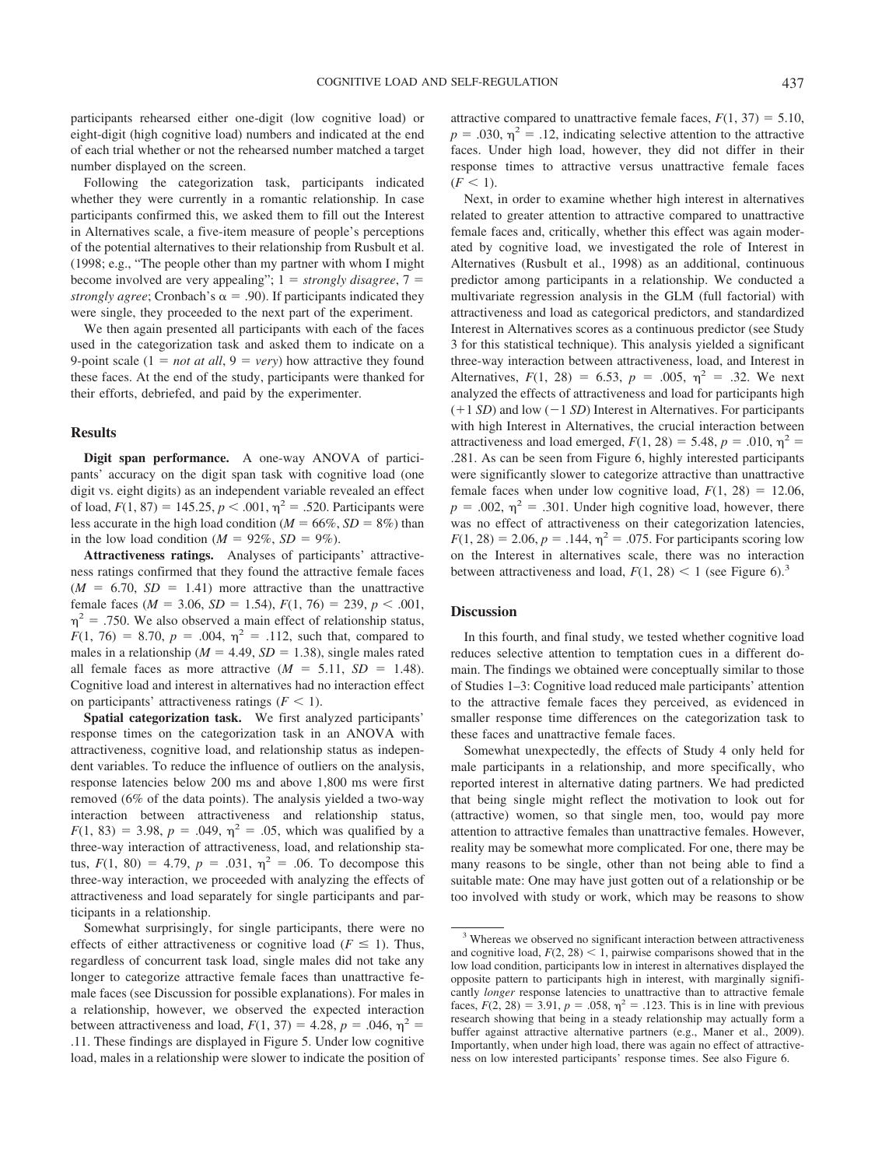participants rehearsed either one-digit (low cognitive load) or eight-digit (high cognitive load) numbers and indicated at the end of each trial whether or not the rehearsed number matched a target number displayed on the screen.

Following the categorization task, participants indicated whether they were currently in a romantic relationship. In case participants confirmed this, we asked them to fill out the Interest in Alternatives scale, a five-item measure of people's perceptions of the potential alternatives to their relationship from [Rusbult et al.](#page-15-20) (1998; e.g., "The people other than my partner with whom I might become involved are very appealing";  $1 = \frac{strongly}{disagree}$ ,  $7 =$ *strongly agree*; Cronbach's  $\alpha = .90$ ). If participants indicated they were single, they proceeded to the next part of the experiment.

We then again presented all participants with each of the faces used in the categorization task and asked them to indicate on a 9-point scale  $(1 = not at all, 9 = very)$  how attractive they found these faces. At the end of the study, participants were thanked for their efforts, debriefed, and paid by the experimenter.

#### **Results**

**Digit span performance.** A one-way ANOVA of participants' accuracy on the digit span task with cognitive load (one digit vs. eight digits) as an independent variable revealed an effect of load,  $F(1, 87) = 145.25, p < .001, \eta^2 = .520$ . Participants were less accurate in the high load condition ( $M = 66\%$ ,  $SD = 8\%$ ) than in the low load condition ( $M = 92\%$ ,  $SD = 9\%$ ).

**Attractiveness ratings.** Analyses of participants' attractiveness ratings confirmed that they found the attractive female faces  $(M = 6.70, SD = 1.41)$  more attractive than the unattractive female faces ( $M = 3.06$ ,  $SD = 1.54$ ),  $F(1, 76) = 239$ ,  $p < .001$ ,  $\eta^2$  = .750. We also observed a main effect of relationship status,  $F(1, 76) = 8.70, p = .004, \eta^2 = .112$ , such that, compared to males in a relationship ( $M = 4.49$ ,  $SD = 1.38$ ), single males rated all female faces as more attractive  $(M = 5.11, SD = 1.48)$ . Cognitive load and interest in alternatives had no interaction effect on participants' attractiveness ratings  $(F < 1)$ .

**Spatial categorization task.** We first analyzed participants' response times on the categorization task in an ANOVA with attractiveness, cognitive load, and relationship status as independent variables. To reduce the influence of outliers on the analysis, response latencies below 200 ms and above 1,800 ms were first removed (6% of the data points). The analysis yielded a two-way interaction between attractiveness and relationship status,  $F(1, 83) = 3.98$ ,  $p = .049$ ,  $\eta^2 = .05$ , which was qualified by a three-way interaction of attractiveness, load, and relationship status,  $F(1, 80) = 4.79$ ,  $p = .031$ ,  $\eta^2 = .06$ . To decompose this three-way interaction, we proceeded with analyzing the effects of attractiveness and load separately for single participants and participants in a relationship.

Somewhat surprisingly, for single participants, there were no effects of either attractiveness or cognitive load ( $F \leq 1$ ). Thus, regardless of concurrent task load, single males did not take any longer to categorize attractive female faces than unattractive female faces (see Discussion for possible explanations). For males in a relationship, however, we observed the expected interaction between attractiveness and load,  $F(1, 37) = 4.28$ ,  $p = .046$ ,  $\eta^2 =$ .11. These findings are displayed in [Figure 5.](#page-11-0) Under low cognitive load, males in a relationship were slower to indicate the position of

attractive compared to unattractive female faces,  $F(1, 37) = 5.10$ ,  $p = .030$ ,  $\eta^2 = .12$ , indicating selective attention to the attractive faces. Under high load, however, they did not differ in their response times to attractive versus unattractive female faces  $(F < 1)$ .

Next, in order to examine whether high interest in alternatives related to greater attention to attractive compared to unattractive female faces and, critically, whether this effect was again moderated by cognitive load, we investigated the role of Interest in Alternatives [\(Rusbult et al., 1998\)](#page-15-20) as an additional, continuous predictor among participants in a relationship. We conducted a multivariate regression analysis in the GLM (full factorial) with attractiveness and load as categorical predictors, and standardized Interest in Alternatives scores as a continuous predictor (see Study 3 for this statistical technique). This analysis yielded a significant three-way interaction between attractiveness, load, and Interest in Alternatives,  $F(1, 28) = 6.53$ ,  $p = .005$ ,  $\eta^2 = .32$ . We next analyzed the effects of attractiveness and load for participants high  $(+1 SD)$  and low  $(-1 SD)$  Interest in Alternatives. For participants with high Interest in Alternatives, the crucial interaction between attractiveness and load emerged,  $F(1, 28) = 5.48$ ,  $p = .010$ ,  $\eta^2 =$ .281. As can be seen from [Figure 6,](#page-12-0) highly interested participants were significantly slower to categorize attractive than unattractive female faces when under low cognitive load,  $F(1, 28) = 12.06$ ,  $p = .002$ ,  $\eta^2 = .301$ . Under high cognitive load, however, there was no effect of attractiveness on their categorization latencies,  $F(1, 28) = 2.06, p = .144, \eta^2 = .075$ . For participants scoring low on the Interest in alternatives scale, there was no interaction between attractiveness and load,  $F(1, 28) < 1$  (see [Figure 6\)](#page-12-0).<sup>3</sup>

# **Discussion**

In this fourth, and final study, we tested whether cognitive load reduces selective attention to temptation cues in a different domain. The findings we obtained were conceptually similar to those of Studies 1–3: Cognitive load reduced male participants' attention to the attractive female faces they perceived, as evidenced in smaller response time differences on the categorization task to these faces and unattractive female faces.

Somewhat unexpectedly, the effects of Study 4 only held for male participants in a relationship, and more specifically, who reported interest in alternative dating partners. We had predicted that being single might reflect the motivation to look out for (attractive) women, so that single men, too, would pay more attention to attractive females than unattractive females. However, reality may be somewhat more complicated. For one, there may be many reasons to be single, other than not being able to find a suitable mate: One may have just gotten out of a relationship or be too involved with study or work, which may be reasons to show

<sup>&</sup>lt;sup>3</sup> Whereas we observed no significant interaction between attractiveness and cognitive load,  $F(2, 28) \le 1$ , pairwise comparisons showed that in the low load condition, participants low in interest in alternatives displayed the opposite pattern to participants high in interest, with marginally significantly *longer* response latencies to unattractive than to attractive female faces,  $F(2, 28) = 3.91$ ,  $p = .058$ ,  $\eta^2 = .123$ . This is in line with previous research showing that being in a steady relationship may actually form a buffer against attractive alternative partners (e.g., [Maner et al., 2009\)](#page-15-26). Importantly, when under high load, there was again no effect of attractiveness on low interested participants' response times. See also [Figure 6.](#page-12-0)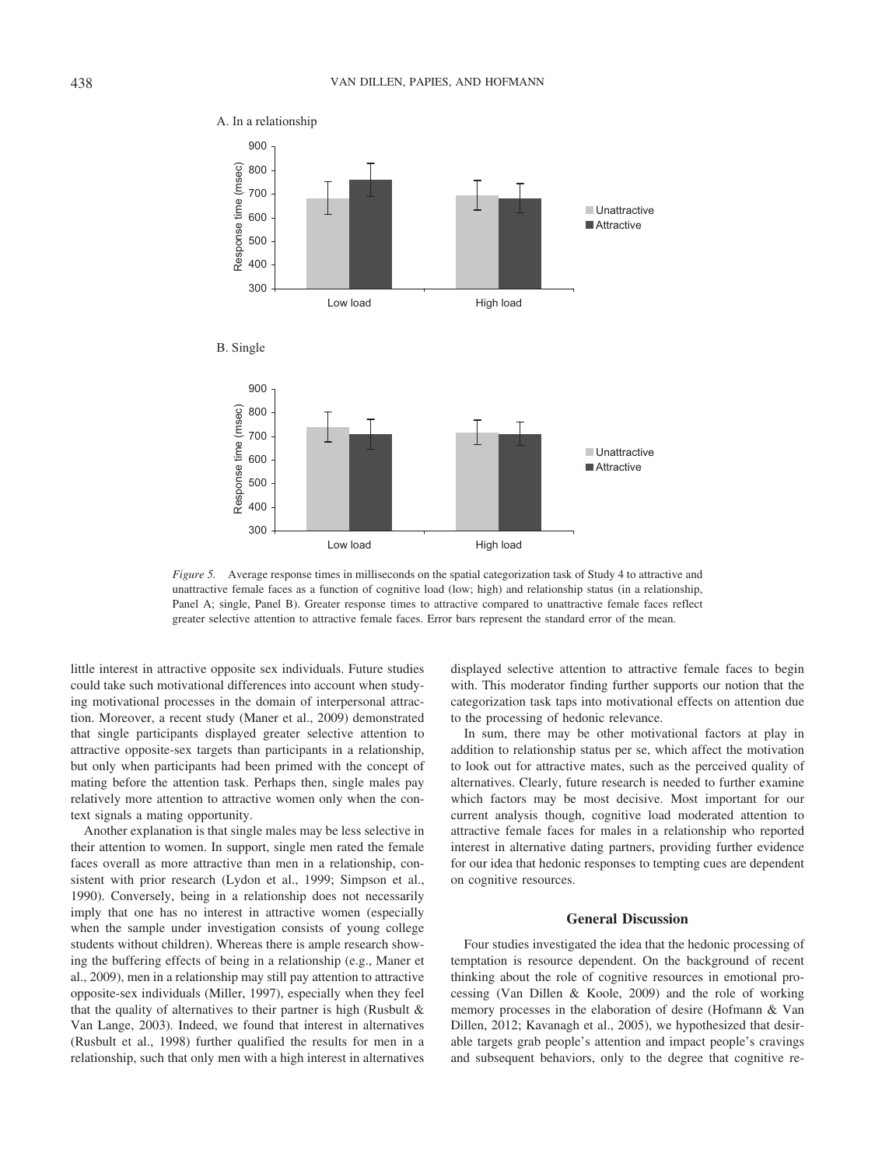

<span id="page-11-0"></span>*Figure 5.* Average response times in milliseconds on the spatial categorization task of Study 4 to attractive and unattractive female faces as a function of cognitive load (low; high) and relationship status (in a relationship, Panel A; single, Panel B). Greater response times to attractive compared to unattractive female faces reflect greater selective attention to attractive female faces. Error bars represent the standard error of the mean.

little interest in attractive opposite sex individuals. Future studies could take such motivational differences into account when studying motivational processes in the domain of interpersonal attraction. Moreover, a recent study [\(Maner et al., 2009\)](#page-15-26) demonstrated that single participants displayed greater selective attention to attractive opposite-sex targets than participants in a relationship, but only when participants had been primed with the concept of mating before the attention task. Perhaps then, single males pay relatively more attention to attractive women only when the context signals a mating opportunity.

Another explanation is that single males may be less selective in their attention to women. In support, single men rated the female faces overall as more attractive than men in a relationship, consistent with prior research [\(Lydon et al., 1999;](#page-15-19) [Simpson et al.,](#page-16-14) [1990\)](#page-16-14). Conversely, being in a relationship does not necessarily imply that one has no interest in attractive women (especially when the sample under investigation consists of young college students without children). Whereas there is ample research showing the buffering effects of being in a relationship (e.g., [Maner et](#page-15-26) [al., 2009\)](#page-15-26), men in a relationship may still pay attention to attractive opposite-sex individuals [\(Miller, 1997\)](#page-15-3), especially when they feel that the quality of alternatives to their partner is high (Rusbult  $\&$ [Van Lange, 2003\)](#page-15-21). Indeed, we found that interest in alternatives [\(Rusbult et al., 1998\)](#page-15-20) further qualified the results for men in a relationship, such that only men with a high interest in alternatives

displayed selective attention to attractive female faces to begin with. This moderator finding further supports our notion that the categorization task taps into motivational effects on attention due to the processing of hedonic relevance.

In sum, there may be other motivational factors at play in addition to relationship status per se, which affect the motivation to look out for attractive mates, such as the perceived quality of alternatives. Clearly, future research is needed to further examine which factors may be most decisive. Most important for our current analysis though, cognitive load moderated attention to attractive female faces for males in a relationship who reported interest in alternative dating partners, providing further evidence for our idea that hedonic responses to tempting cues are dependent on cognitive resources.

### **General Discussion**

Four studies investigated the idea that the hedonic processing of temptation is resource dependent. On the background of recent thinking about the role of cognitive resources in emotional processing [\(Van Dillen & Koole, 2009\)](#page-16-9) and the role of working memory processes in the elaboration of desire [\(Hofmann & Van](#page-15-15) [Dillen, 2012;](#page-15-15) [Kavanagh et al., 2005\)](#page-15-12), we hypothesized that desirable targets grab people's attention and impact people's cravings and subsequent behaviors, only to the degree that cognitive re-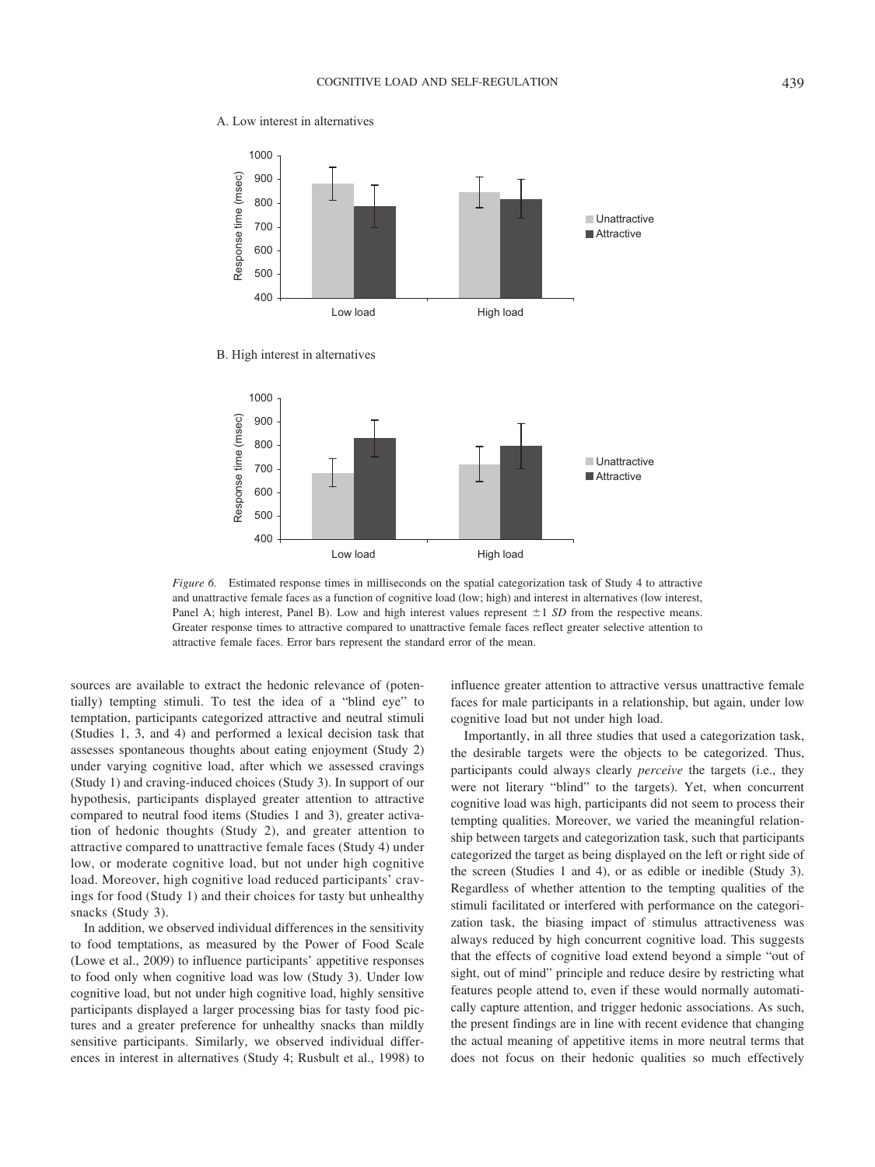



B. High interest in alternatives



<span id="page-12-0"></span>*Figure 6.* Estimated response times in milliseconds on the spatial categorization task of Study 4 to attractive and unattractive female faces as a function of cognitive load (low; high) and interest in alternatives (low interest, Panel A; high interest, Panel B). Low and high interest values represent  $\pm 1$  SD from the respective means. Greater response times to attractive compared to unattractive female faces reflect greater selective attention to attractive female faces. Error bars represent the standard error of the mean.

sources are available to extract the hedonic relevance of (potentially) tempting stimuli. To test the idea of a "blind eye" to temptation, participants categorized attractive and neutral stimuli (Studies 1, 3, and 4) and performed a lexical decision task that assesses spontaneous thoughts about eating enjoyment (Study 2) under varying cognitive load, after which we assessed cravings (Study 1) and craving-induced choices (Study 3). In support of our hypothesis, participants displayed greater attention to attractive compared to neutral food items (Studies 1 and 3), greater activation of hedonic thoughts (Study 2), and greater attention to attractive compared to unattractive female faces (Study 4) under low, or moderate cognitive load, but not under high cognitive load. Moreover, high cognitive load reduced participants' cravings for food (Study 1) and their choices for tasty but unhealthy snacks (Study 3).

In addition, we observed individual differences in the sensitivity to food temptations, as measured by the Power of Food Scale [\(Lowe et al., 2009\)](#page-15-18) to influence participants' appetitive responses to food only when cognitive load was low (Study 3). Under low cognitive load, but not under high cognitive load, highly sensitive participants displayed a larger processing bias for tasty food pictures and a greater preference for unhealthy snacks than mildly sensitive participants. Similarly, we observed individual differences in interest in alternatives (Study 4; [Rusbult et al., 1998\)](#page-15-20) to influence greater attention to attractive versus unattractive female faces for male participants in a relationship, but again, under low cognitive load but not under high load.

Importantly, in all three studies that used a categorization task, the desirable targets were the objects to be categorized. Thus, participants could always clearly *perceive* the targets (i.e., they were not literary "blind" to the targets). Yet, when concurrent cognitive load was high, participants did not seem to process their tempting qualities. Moreover, we varied the meaningful relationship between targets and categorization task, such that participants categorized the target as being displayed on the left or right side of the screen (Studies 1 and 4), or as edible or inedible (Study 3). Regardless of whether attention to the tempting qualities of the stimuli facilitated or interfered with performance on the categorization task, the biasing impact of stimulus attractiveness was always reduced by high concurrent cognitive load. This suggests that the effects of cognitive load extend beyond a simple "out of sight, out of mind" principle and reduce desire by restricting what features people attend to, even if these would normally automatically capture attention, and trigger hedonic associations. As such, the present findings are in line with recent evidence that changing the actual meaning of appetitive items in more neutral terms that does not focus on their hedonic qualities so much effectively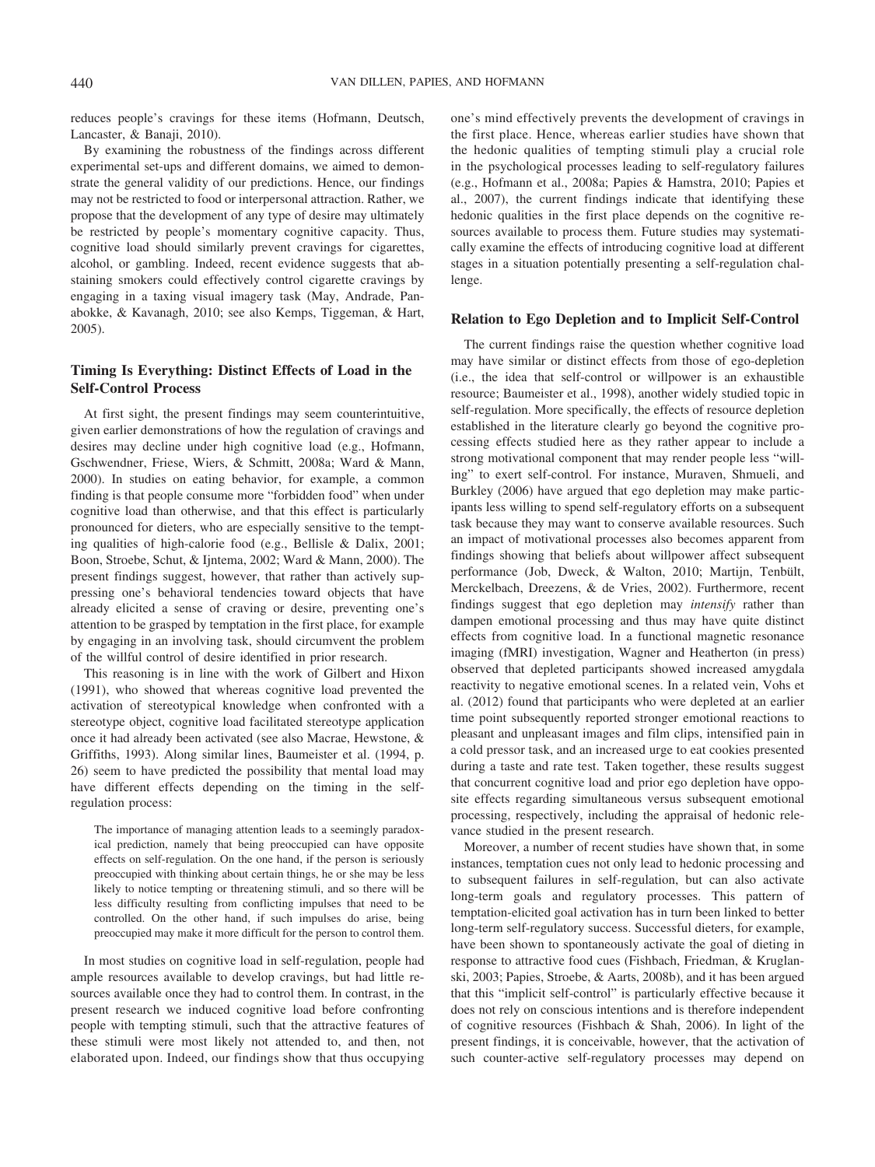reduces people's cravings for these items [\(Hofmann, Deutsch,](#page-15-27) [Lancaster, & Banaji, 2010\)](#page-15-27).

By examining the robustness of the findings across different experimental set-ups and different domains, we aimed to demonstrate the general validity of our predictions. Hence, our findings may not be restricted to food or interpersonal attraction. Rather, we propose that the development of any type of desire may ultimately be restricted by people's momentary cognitive capacity. Thus, cognitive load should similarly prevent cravings for cigarettes, alcohol, or gambling. Indeed, recent evidence suggests that abstaining smokers could effectively control cigarette cravings by engaging in a taxing visual imagery task [\(May, Andrade, Pan](#page-15-28)[abokke, & Kavanagh, 2010;](#page-15-28) see also [Kemps, Tiggeman, & Hart,](#page-15-29) [2005\)](#page-15-29).

# **Timing Is Everything: Distinct Effects of Load in the Self-Control Process**

At first sight, the present findings may seem counterintuitive, given earlier demonstrations of how the regulation of cravings and desires may decline under high cognitive load (e.g., [Hofmann,](#page-15-30) [Gschwendner, Friese, Wiers, & Schmitt, 2008a;](#page-15-30) [Ward & Mann,](#page-16-2) [2000\)](#page-16-2). In studies on eating behavior, for example, a common finding is that people consume more "forbidden food" when under cognitive load than otherwise, and that this effect is particularly pronounced for dieters, who are especially sensitive to the tempting qualities of high-calorie food (e.g., [Bellisle & Dalix, 2001;](#page-14-25) [Boon, Stroebe, Schut, & Ijntema, 2002;](#page-14-26) [Ward & Mann, 2000\)](#page-16-2). The present findings suggest, however, that rather than actively suppressing one's behavioral tendencies toward objects that have already elicited a sense of craving or desire, preventing one's attention to be grasped by temptation in the first place, for example by engaging in an involving task, should circumvent the problem of the willful control of desire identified in prior research.

This reasoning is in line with the work of [Gilbert and Hixon](#page-14-14) [\(1991\),](#page-14-14) who showed that whereas cognitive load prevented the activation of stereotypical knowledge when confronted with a stereotype object, cognitive load facilitated stereotype application once it had already been activated (see also [Macrae, Hewstone, &](#page-15-31) [Griffiths, 1993\)](#page-15-31). Along similar lines, [Baumeister et al. \(1994, p.](#page-14-5) [26\)](#page-14-5) seem to have predicted the possibility that mental load may have different effects depending on the timing in the selfregulation process:

The importance of managing attention leads to a seemingly paradoxical prediction, namely that being preoccupied can have opposite effects on self-regulation. On the one hand, if the person is seriously preoccupied with thinking about certain things, he or she may be less likely to notice tempting or threatening stimuli, and so there will be less difficulty resulting from conflicting impulses that need to be controlled. On the other hand, if such impulses do arise, being preoccupied may make it more difficult for the person to control them.

In most studies on cognitive load in self-regulation, people had ample resources available to develop cravings, but had little resources available once they had to control them. In contrast, in the present research we induced cognitive load before confronting people with tempting stimuli, such that the attractive features of these stimuli were most likely not attended to, and then, not elaborated upon. Indeed, our findings show that thus occupying one's mind effectively prevents the development of cravings in the first place. Hence, whereas earlier studies have shown that the hedonic qualities of tempting stimuli play a crucial role in the psychological processes leading to self-regulatory failures (e.g., [Hofmann et al., 2008a;](#page-15-30) [Papies & Hamstra, 2010;](#page-15-2) [Papies et](#page-15-9) [al., 2007\)](#page-15-9), the current findings indicate that identifying these hedonic qualities in the first place depends on the cognitive resources available to process them. Future studies may systematically examine the effects of introducing cognitive load at different stages in a situation potentially presenting a self-regulation challenge.

## **Relation to Ego Depletion and to Implicit Self-Control**

The current findings raise the question whether cognitive load may have similar or distinct effects from those of ego-depletion (i.e., the idea that self-control or willpower is an exhaustible resource; [Baumeister et al., 1998\)](#page-14-3), another widely studied topic in self-regulation. More specifically, the effects of resource depletion established in the literature clearly go beyond the cognitive processing effects studied here as they rather appear to include a strong motivational component that may render people less "willing" to exert self-control. For instance, [Muraven, Shmueli, and](#page-15-32) [Burkley \(2006\)](#page-15-32) have argued that ego depletion may make participants less willing to spend self-regulatory efforts on a subsequent task because they may want to conserve available resources. Such an impact of motivational processes also becomes apparent from findings showing that beliefs about willpower affect subsequent performance [\(Job, Dweck, & Walton, 2010;](#page-15-33) [Martijn, Tenbült,](#page-15-34) [Merckelbach, Dreezens, & de Vries, 2002\)](#page-15-34). Furthermore, recent findings suggest that ego depletion may *intensify* rather than dampen emotional processing and thus may have quite distinct effects from cognitive load. In a functional magnetic resonance imaging (fMRI) investigation, [Wagner and Heatherton \(in press\)](#page-16-21) observed that depleted participants showed increased amygdala reactivity to negative emotional scenes. In a related vein, [Vohs et](#page-16-22) [al. \(2012\)](#page-16-22) found that participants who were depleted at an earlier time point subsequently reported stronger emotional reactions to pleasant and unpleasant images and film clips, intensified pain in a cold pressor task, and an increased urge to eat cookies presented during a taste and rate test. Taken together, these results suggest that concurrent cognitive load and prior ego depletion have opposite effects regarding simultaneous versus subsequent emotional processing, respectively, including the appraisal of hedonic relevance studied in the present research.

Moreover, a number of recent studies have shown that, in some instances, temptation cues not only lead to hedonic processing and to subsequent failures in self-regulation, but can also activate long-term goals and regulatory processes. This pattern of temptation-elicited goal activation has in turn been linked to better long-term self-regulatory success. Successful dieters, for example, have been shown to spontaneously activate the goal of dieting in response to attractive food cues [\(Fishbach, Friedman, & Kruglan](#page-14-27)[ski, 2003;](#page-14-27) [Papies, Stroebe, & Aarts, 2008b\)](#page-15-35), and it has been argued that this "implicit self-control" is particularly effective because it does not rely on conscious intentions and is therefore independent of cognitive resources [\(Fishbach & Shah, 2006\)](#page-14-28). In light of the present findings, it is conceivable, however, that the activation of such counter-active self-regulatory processes may depend on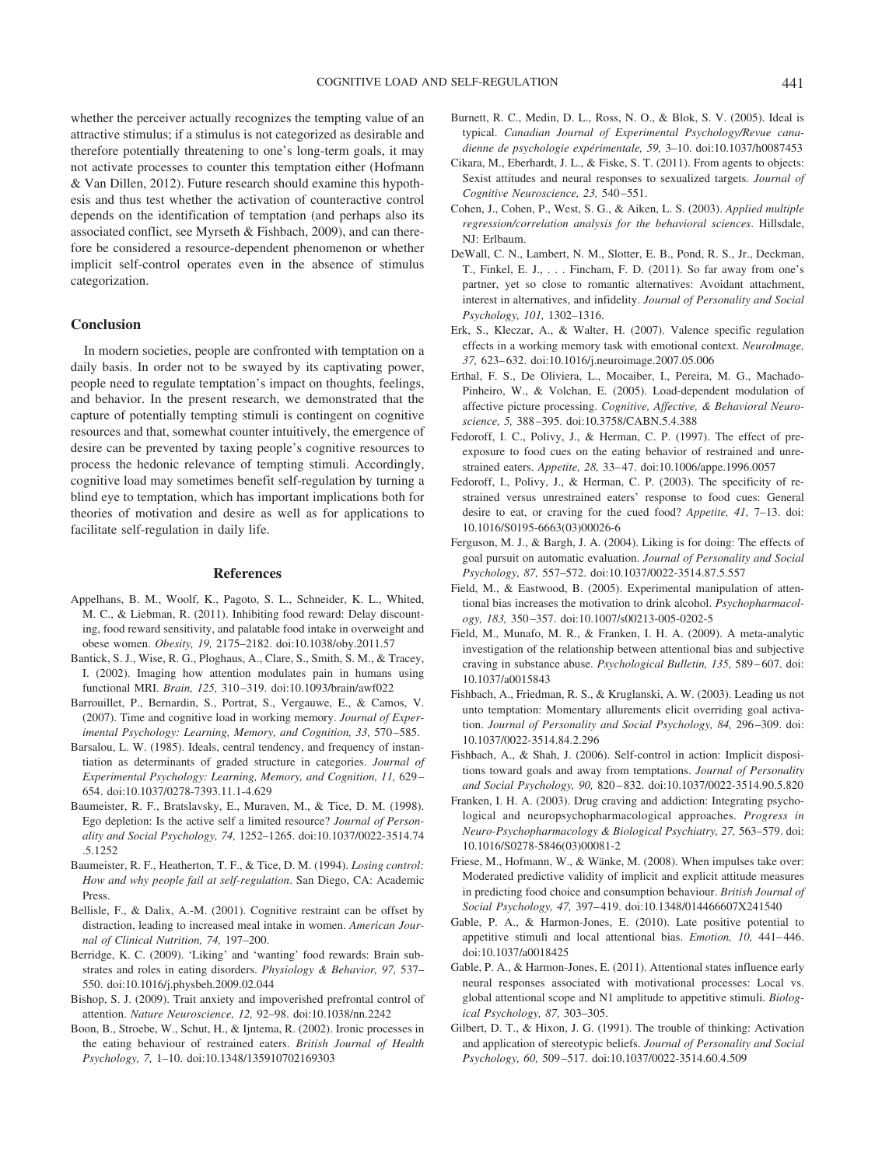<span id="page-14-13"></span>whether the perceiver actually recognizes the tempting value of an attractive stimulus; if a stimulus is not categorized as desirable and therefore potentially threatening to one's long-term goals, it may not activate processes to counter this temptation either [\(Hofmann](#page-15-15) [& Van Dillen, 2012\)](#page-15-15). Future research should examine this hypothesis and thus test whether the activation of counteractive control depends on the identification of temptation (and perhaps also its associated conflict, see [Myrseth & Fishbach, 2009\)](#page-15-36), and can therefore be considered a resource-dependent phenomenon or whether implicit self-control operates even in the absence of stimulus categorization.

# **Conclusion**

In modern societies, people are confronted with temptation on a daily basis. In order not to be swayed by its captivating power, people need to regulate temptation's impact on thoughts, feelings, and behavior. In the present research, we demonstrated that the capture of potentially tempting stimuli is contingent on cognitive resources and that, somewhat counter intuitively, the emergence of desire can be prevented by taxing people's cognitive resources to process the hedonic relevance of tempting stimuli. Accordingly, cognitive load may sometimes benefit self-regulation by turning a blind eye to temptation, which has important implications both for theories of motivation and desire as well as for applications to facilitate self-regulation in daily life.

#### **References**

- <span id="page-14-21"></span>Appelhans, B. M., Woolf, K., Pagoto, S. L., Schneider, K. L., Whited, M. C., & Liebman, R. (2011). Inhibiting food reward: Delay discounting, food reward sensitivity, and palatable food intake in overweight and obese women. *Obesity, 19,* 2175–2182. [doi:10.1038/oby.2011.57](http://dx.doi.org/10.1038/oby.2011.57)
- <span id="page-14-17"></span>Bantick, S. J., Wise, R. G., Ploghaus, A., Clare, S., Smith, S. M., & Tracey, I. (2002). Imaging how attention modulates pain in humans using functional MRI. *Brain, 125,* 310 –319. [doi:10.1093/brain/awf022](http://dx.doi.org/10.1093/brain/awf022)
- <span id="page-14-24"></span>Barrouillet, P., Bernardin, S., Portrat, S., Vergauwe, E., & Camos, V. (2007). Time and cognitive load in working memory. *Journal of Experimental Psychology: Learning, Memory, and Cognition, 33,* 570 –585.
- <span id="page-14-19"></span>Barsalou, L. W. (1985). Ideals, central tendency, and frequency of instantiation as determinants of graded structure in categories. *Journal of Experimental Psychology: Learning, Memory, and Cognition, 11,* 629 – 654. [doi:10.1037/0278-7393.11.1-4.629](http://dx.doi.org/10.1037/0278-7393.11.1-4.629)
- <span id="page-14-3"></span>Baumeister, R. F., Bratslavsky, E., Muraven, M., & Tice, D. M. (1998). Ego depletion: Is the active self a limited resource? *Journal of Personality and Social Psychology, 74,* 1252–1265. [doi:10.1037/0022-3514.74](http://dx.doi.org/10.1037/0022-3514.74.5.1252) [.5.1252](http://dx.doi.org/10.1037/0022-3514.74.5.1252)
- <span id="page-14-5"></span>Baumeister, R. F., Heatherton, T. F., & Tice, D. M. (1994). *Losing control: How and why people fail at self-regulation*. San Diego, CA: Academic Press.
- <span id="page-14-25"></span>Bellisle, F., & Dalix, A.-M. (2001). Cognitive restraint can be offset by distraction, leading to increased meal intake in women. *American Journal of Clinical Nutrition, 74,* 197–200.
- <span id="page-14-10"></span>Berridge, K. C. (2009). 'Liking' and 'wanting' food rewards: Brain substrates and roles in eating disorders. *Physiology & Behavior, 97,* 537– 550. [doi:10.1016/j.physbeh.2009.02.044](http://dx.doi.org/10.1016/j.physbeh.2009.02.044)
- <span id="page-14-22"></span>Bishop, S. J. (2009). Trait anxiety and impoverished prefrontal control of attention. *Nature Neuroscience, 12,* 92–98. [doi:10.1038/nn.2242](http://dx.doi.org/10.1038/nn.2242)
- <span id="page-14-26"></span>Boon, B., Stroebe, W., Schut, H., & Ijntema, R. (2002). Ironic processes in the eating behaviour of restrained eaters. *British Journal of Health Psychology, 7,* 1–10. [doi:10.1348/135910702169303](http://dx.doi.org/10.1348/135910702169303)
- <span id="page-14-20"></span>Burnett, R. C., Medin, D. L., Ross, N. O., & Blok, S. V. (2005). Ideal is typical. *Canadian Journal of Experimental Psychology/Revue canadienne de psychologie expérimentale, 59,* 3–10. [doi:10.1037/h0087453](http://dx.doi.org/10.1037/h0087453)
- <span id="page-14-2"></span>Cikara, M., Eberhardt, J. L., & Fiske, S. T. (2011). From agents to objects: Sexist attitudes and neural responses to sexualized targets. *Journal of Cognitive Neuroscience, 23,* 540 –551.
- <span id="page-14-23"></span>Cohen, J., Cohen, P., West, S. G., & Aiken, L. S. (2003). *Applied multiple regression/correlation analysis for the behavioral sciences*. Hillsdale, NJ: Erlbaum.
- <span id="page-14-18"></span>DeWall, C. N., Lambert, N. M., Slotter, E. B., Pond, R. S., Jr., Deckman, T., Finkel, E. J.,... Fincham, F. D. (2011). So far away from one's partner, yet so close to romantic alternatives: Avoidant attachment, interest in alternatives, and infidelity. *Journal of Personality and Social Psychology, 101,* 1302–1316.
- <span id="page-14-16"></span>Erk, S., Kleczar, A., & Walter, H. (2007). Valence specific regulation effects in a working memory task with emotional context. *NeuroImage, 37,* 623– 632. [doi:10.1016/j.neuroimage.2007.05.006](http://dx.doi.org/10.1016/j.neuroimage.2007.05.006)
- <span id="page-14-15"></span>Erthal, F. S., De Oliviera, L., Mocaiber, I., Pereira, M. G., Machado-Pinheiro, W., & Volchan, E. (2005). Load-dependent modulation of affective picture processing. *Cognitive, Affective, & Behavioral Neuroscience, 5,* 388 –395. [doi:10.3758/CABN.5.4.388](http://dx.doi.org/10.3758/CABN.5.4.388)
- <span id="page-14-0"></span>Fedoroff, I. C., Polivy, J., & Herman, C. P. (1997). The effect of preexposure to food cues on the eating behavior of restrained and unrestrained eaters. *Appetite, 28,* 33– 47. [doi:10.1006/appe.1996.0057](http://dx.doi.org/10.1006/appe.1996.0057)
- <span id="page-14-1"></span>Fedoroff, I., Polivy, J., & Herman, C. P. (2003). The specificity of restrained versus unrestrained eaters' response to food cues: General desire to eat, or craving for the cued food? *Appetite, 41,* 7–13. [doi:](http://dx.doi.org/10.1016/S0195-6663%2803%2900026-6) [10.1016/S0195-6663\(03\)00026-6](http://dx.doi.org/10.1016/S0195-6663%2803%2900026-6)
- <span id="page-14-6"></span>Ferguson, M. J., & Bargh, J. A. (2004). Liking is for doing: The effects of goal pursuit on automatic evaluation. *Journal of Personality and Social Psychology, 87,* 557–572. [doi:10.1037/0022-3514.87.5.557](http://dx.doi.org/10.1037/0022-3514.87.5.557)
- <span id="page-14-11"></span>Field, M., & Eastwood, B. (2005). Experimental manipulation of attentional bias increases the motivation to drink alcohol. *Psychopharmacology, 183,* 350 –357. [doi:10.1007/s00213-005-0202-5](http://dx.doi.org/10.1007/s00213-005-0202-5)
- <span id="page-14-8"></span>Field, M., Munafo, M. R., & Franken, I. H. A. (2009). A meta-analytic investigation of the relationship between attentional bias and subjective craving in substance abuse. *Psychological Bulletin, 135, 589-607*. [doi:](http://dx.doi.org/10.1037/a0015843) [10.1037/a0015843](http://dx.doi.org/10.1037/a0015843)
- <span id="page-14-27"></span>Fishbach, A., Friedman, R. S., & Kruglanski, A. W. (2003). Leading us not unto temptation: Momentary allurements elicit overriding goal activation. *Journal of Personality and Social Psychology, 84,* 296 –309. [doi:](http://dx.doi.org/10.1037/0022-3514.84.2.296) [10.1037/0022-3514.84.2.296](http://dx.doi.org/10.1037/0022-3514.84.2.296)
- <span id="page-14-28"></span>Fishbach, A., & Shah, J. (2006). Self-control in action: Implicit dispositions toward goals and away from temptations. *Journal of Personality and Social Psychology, 90,* 820 – 832. [doi:10.1037/0022-3514.90.5.820](http://dx.doi.org/10.1037/0022-3514.90.5.820)
- <span id="page-14-12"></span>Franken, I. H. A. (2003). Drug craving and addiction: Integrating psychological and neuropsychopharmacological approaches. *Progress in Neuro-Psychopharmacology & Biological Psychiatry, 27,* 563–579. [doi:](http://dx.doi.org/10.1016/S0278-5846%2803%2900081-2) [10.1016/S0278-5846\(03\)00081-2](http://dx.doi.org/10.1016/S0278-5846%2803%2900081-2)
- <span id="page-14-4"></span>Friese, M., Hofmann, W., & Wänke, M. (2008). When impulses take over: Moderated predictive validity of implicit and explicit attitude measures in predicting food choice and consumption behaviour. *British Journal of Social Psychology, 47,* 397– 419. [doi:10.1348/014466607X241540](http://dx.doi.org/10.1348/014466607X241540)
- <span id="page-14-7"></span>Gable, P. A., & Harmon-Jones, E. (2010). Late positive potential to appetitive stimuli and local attentional bias. *Emotion, 10, 441-446*. [doi:10.1037/a0018425](http://dx.doi.org/10.1037/a0018425)
- <span id="page-14-9"></span>Gable, P. A., & Harmon-Jones, E. (2011). Attentional states influence early neural responses associated with motivational processes: Local vs. global attentional scope and N1 amplitude to appetitive stimuli. *Biological Psychology, 87,* 303–305.
- <span id="page-14-14"></span>Gilbert, D. T., & Hixon, J. G. (1991). The trouble of thinking: Activation and application of stereotypic beliefs. *Journal of Personality and Social Psychology, 60,* 509 –517. [doi:10.1037/0022-3514.60.4.509](http://dx.doi.org/10.1037/0022-3514.60.4.509)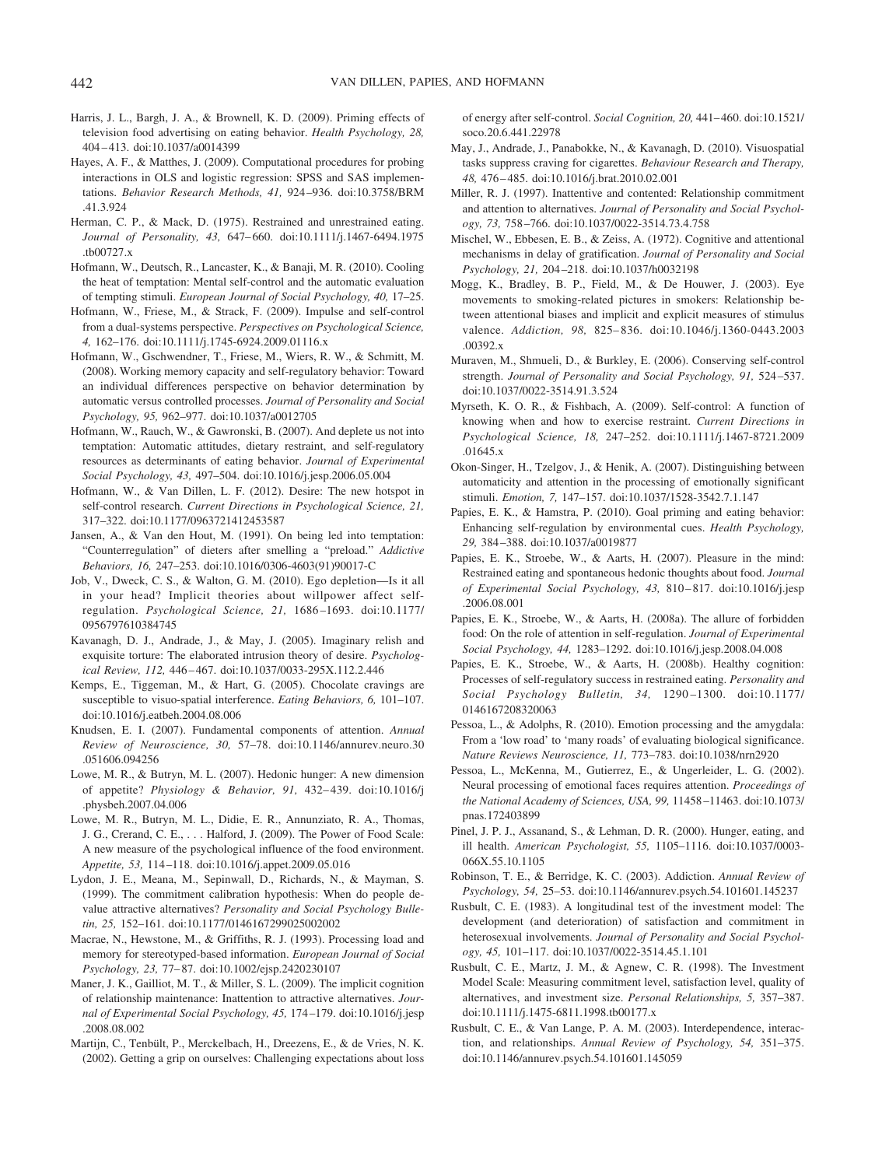- <span id="page-15-24"></span>Harris, J. L., Bargh, J. A., & Brownell, K. D. (2009). Priming effects of television food advertising on eating behavior. *Health Psychology, 28,* 404 – 413. [doi:10.1037/a0014399](http://dx.doi.org/10.1037/a0014399)
- <span id="page-15-25"></span>Hayes, A. F., & Matthes, J. (2009). Computational procedures for probing interactions in OLS and logistic regression: SPSS and SAS implementations. *Behavior Research Methods, 41,* 924 –936. [doi:10.3758/BRM](http://dx.doi.org/10.3758/BRM.41.3.924) [.41.3.924](http://dx.doi.org/10.3758/BRM.41.3.924)
- <span id="page-15-0"></span>Herman, C. P., & Mack, D. (1975). Restrained and unrestrained eating. *Journal of Personality, 43,* 647– 660. [doi:10.1111/j.1467-6494.1975](http://dx.doi.org/10.1111/j.1467-6494.1975.tb00727.x) [.tb00727.x](http://dx.doi.org/10.1111/j.1467-6494.1975.tb00727.x)
- <span id="page-15-27"></span>Hofmann, W., Deutsch, R., Lancaster, K., & Banaji, M. R. (2010). Cooling the heat of temptation: Mental self-control and the automatic evaluation of tempting stimuli. *European Journal of Social Psychology, 40,* 17–25.
- <span id="page-15-5"></span>Hofmann, W., Friese, M., & Strack, F. (2009). Impulse and self-control from a dual-systems perspective. *Perspectives on Psychological Science, 4,* 162–176. [doi:10.1111/j.1745-6924.2009.01116.x](http://dx.doi.org/10.1111/j.1745-6924.2009.01116.x)
- <span id="page-15-30"></span>Hofmann, W., Gschwendner, T., Friese, M., Wiers, R. W., & Schmitt, M. (2008). Working memory capacity and self-regulatory behavior: Toward an individual differences perspective on behavior determination by automatic versus controlled processes. *Journal of Personality and Social Psychology, 95,* 962–977. [doi:10.1037/a0012705](http://dx.doi.org/10.1037/a0012705)
- <span id="page-15-8"></span>Hofmann, W., Rauch, W., & Gawronski, B. (2007). And deplete us not into temptation: Automatic attitudes, dietary restraint, and self-regulatory resources as determinants of eating behavior. *Journal of Experimental Social Psychology, 43,* 497–504. [doi:10.1016/j.jesp.2006.05.004](http://dx.doi.org/10.1016/j.jesp.2006.05.004)
- <span id="page-15-15"></span>Hofmann, W., & Van Dillen, L. F. (2012). Desire: The new hotspot in self-control research. *Current Directions in Psychological Science, 21,* 317–322. [doi:10.1177/0963721412453587](http://dx.doi.org/10.1177/0963721412453587)
- <span id="page-15-1"></span>Jansen, A., & Van den Hout, M. (1991). On being led into temptation: "Counterregulation" of dieters after smelling a "preload." *Addictive Behaviors, 16,* 247–253. [doi:10.1016/0306-4603\(91\)90017-C](http://dx.doi.org/10.1016/0306-4603%2891%2990017-C)
- <span id="page-15-33"></span>Job, V., Dweck, C. S., & Walton, G. M. (2010). Ego depletion—Is it all in your head? Implicit theories about willpower affect selfregulation. *Psychological Science, 21,* 1686 –1693. [doi:10.1177/](http://dx.doi.org/10.1177/0956797610384745) [0956797610384745](http://dx.doi.org/10.1177/0956797610384745)
- <span id="page-15-12"></span>Kavanagh, D. J., Andrade, J., & May, J. (2005). Imaginary relish and exquisite torture: The elaborated intrusion theory of desire. *Psychological Review, 112,* 446 – 467. [doi:10.1037/0033-295X.112.2.446](http://dx.doi.org/10.1037/0033-295X.112.2.446)
- <span id="page-15-29"></span>Kemps, E., Tiggeman, M., & Hart, G. (2005). Chocolate cravings are susceptible to visuo-spatial interference. *Eating Behaviors, 6,* 101–107. [doi:10.1016/j.eatbeh.2004.08.006](http://dx.doi.org/10.1016/j.eatbeh.2004.08.006)
- <span id="page-15-6"></span>Knudsen, E. I. (2007). Fundamental components of attention. *Annual Review of Neuroscience, 30,* 57–78. [doi:10.1146/annurev.neuro.30](http://dx.doi.org/10.1146/annurev.neuro.30.051606.094256) [.051606.094256](http://dx.doi.org/10.1146/annurev.neuro.30.051606.094256)
- <span id="page-15-22"></span>Lowe, M. R., & Butryn, M. L. (2007). Hedonic hunger: A new dimension of appetite? *Physiology & Behavior, 91,* 432– 439. [doi:10.1016/j](http://dx.doi.org/10.1016/j.physbeh.2007.04.006) [.physbeh.2007.04.006](http://dx.doi.org/10.1016/j.physbeh.2007.04.006)
- <span id="page-15-18"></span>Lowe, M. R., Butryn, M. L., Didie, E. R., Annunziato, R. A., Thomas, J. G., Crerand, C. E.,... Halford, J. (2009). The Power of Food Scale: A new measure of the psychological influence of the food environment. *Appetite, 53,* 114 –118. [doi:10.1016/j.appet.2009.05.016](http://dx.doi.org/10.1016/j.appet.2009.05.016)
- <span id="page-15-19"></span>Lydon, J. E., Meana, M., Sepinwall, D., Richards, N., & Mayman, S. (1999). The commitment calibration hypothesis: When do people devalue attractive alternatives? *Personality and Social Psychology Bulletin, 25,* 152–161. [doi:10.1177/0146167299025002002](http://dx.doi.org/10.1177/0146167299025002002)
- <span id="page-15-31"></span>Macrae, N., Hewstone, M., & Griffiths, R. J. (1993). Processing load and memory for stereotyped-based information. *European Journal of Social Psychology, 23,* 77– 87. [doi:10.1002/ejsp.2420230107](http://dx.doi.org/10.1002/ejsp.2420230107)
- <span id="page-15-26"></span>Maner, J. K., Gailliot, M. T., & Miller, S. L. (2009). The implicit cognition of relationship maintenance: Inattention to attractive alternatives. *Journal of Experimental Social Psychology, 45,* 174 –179. [doi:10.1016/j.jesp](http://dx.doi.org/10.1016/j.jesp.2008.08.002) [.2008.08.002](http://dx.doi.org/10.1016/j.jesp.2008.08.002)
- <span id="page-15-34"></span>Martijn, C., Tenbült, P., Merckelbach, H., Dreezens, E., & de Vries, N. K. (2002). Getting a grip on ourselves: Challenging expectations about loss

of energy after self-control. *Social Cognition, 20,* 441– 460. [doi:10.1521/](http://dx.doi.org/10.1521/soco.20.6.441.22978) [soco.20.6.441.22978](http://dx.doi.org/10.1521/soco.20.6.441.22978)

- <span id="page-15-28"></span>May, J., Andrade, J., Panabokke, N., & Kavanagh, D. (2010). Visuospatial tasks suppress craving for cigarettes. *Behaviour Research and Therapy, 48,* 476 – 485. [doi:10.1016/j.brat.2010.02.001](http://dx.doi.org/10.1016/j.brat.2010.02.001)
- <span id="page-15-3"></span>Miller, R. J. (1997). Inattentive and contented: Relationship commitment and attention to alternatives. *Journal of Personality and Social Psychology, 73,* 758 –766. [doi:10.1037/0022-3514.73.4.758](http://dx.doi.org/10.1037/0022-3514.73.4.758)
- <span id="page-15-14"></span>Mischel, W., Ebbesen, E. B., & Zeiss, A. (1972). Cognitive and attentional mechanisms in delay of gratification. *Journal of Personality and Social Psychology, 21,* 204 –218. [doi:10.1037/h0032198](http://dx.doi.org/10.1037/h0032198)
- <span id="page-15-11"></span>Mogg, K., Bradley, B. P., Field, M., & De Houwer, J. (2003). Eye movements to smoking-related pictures in smokers: Relationship between attentional biases and implicit and explicit measures of stimulus valence. *Addiction, 98,* 825– 836. [doi:10.1046/j.1360-0443.2003](http://dx.doi.org/10.1046/j.1360-0443.2003.00392.x) [.00392.x](http://dx.doi.org/10.1046/j.1360-0443.2003.00392.x)
- <span id="page-15-32"></span>Muraven, M., Shmueli, D., & Burkley, E. (2006). Conserving self-control strength. *Journal of Personality and Social Psychology, 91,* 524 –537. [doi:10.1037/0022-3514.91.3.524](http://dx.doi.org/10.1037/0022-3514.91.3.524)
- <span id="page-15-36"></span>Myrseth, K. O. R., & Fishbach, A. (2009). Self-control: A function of knowing when and how to exercise restraint. *Current Directions in Psychological Science, 18,* 247–252. [doi:10.1111/j.1467-8721.2009](http://dx.doi.org/10.1111/j.1467-8721.2009.01645.x) [.01645.x](http://dx.doi.org/10.1111/j.1467-8721.2009.01645.x)
- <span id="page-15-16"></span>Okon-Singer, H., Tzelgov, J., & Henik, A. (2007). Distinguishing between automaticity and attention in the processing of emotionally significant stimuli. *Emotion, 7,* 147–157. [doi:10.1037/1528-3542.7.1.147](http://dx.doi.org/10.1037/1528-3542.7.1.147)
- <span id="page-15-2"></span>Papies, E. K., & Hamstra, P. (2010). Goal priming and eating behavior: Enhancing self-regulation by environmental cues. *Health Psychology, 29,* 384 –388. [doi:10.1037/a0019877](http://dx.doi.org/10.1037/a0019877)
- <span id="page-15-9"></span>Papies, E. K., Stroebe, W., & Aarts, H. (2007). Pleasure in the mind: Restrained eating and spontaneous hedonic thoughts about food. *Journal of Experimental Social Psychology, 43,* 810 – 817. [doi:10.1016/j.jesp](http://dx.doi.org/10.1016/j.jesp.2006.08.001) [.2006.08.001](http://dx.doi.org/10.1016/j.jesp.2006.08.001)
- <span id="page-15-10"></span>Papies, E. K., Stroebe, W., & Aarts, H. (2008a). The allure of forbidden food: On the role of attention in self-regulation. *Journal of Experimental Social Psychology, 44,* 1283–1292. [doi:10.1016/j.jesp.2008.04.008](http://dx.doi.org/10.1016/j.jesp.2008.04.008)
- <span id="page-15-35"></span>Papies, E. K., Stroebe, W., & Aarts, H. (2008b). Healthy cognition: Processes of self-regulatory success in restrained eating. *Personality and Social Psychology Bulletin, 34,* 1290 –1300. [doi:10.1177/](http://dx.doi.org/10.1177/0146167208320063) [0146167208320063](http://dx.doi.org/10.1177/0146167208320063)
- <span id="page-15-7"></span>Pessoa, L., & Adolphs, R. (2010). Emotion processing and the amygdala: From a 'low road' to 'many roads' of evaluating biological significance. *Nature Reviews Neuroscience, 11,* 773–783. [doi:10.1038/nrn2920](http://dx.doi.org/10.1038/nrn2920)
- <span id="page-15-17"></span>Pessoa, L., McKenna, M., Gutierrez, E., & Ungerleider, L. G. (2002). Neural processing of emotional faces requires attention. *Proceedings of the National Academy of Sciences, USA, 99,* 11458 –11463. [doi:10.1073/](http://dx.doi.org/10.1073/pnas.172403899) [pnas.172403899](http://dx.doi.org/10.1073/pnas.172403899)
- <span id="page-15-23"></span>Pinel, J. P. J., Assanand, S., & Lehman, D. R. (2000). Hunger, eating, and ill health. *American Psychologist, 55,* 1105–1116. [doi:10.1037/0003-](http://dx.doi.org/10.1037/0003-066X.55.10.1105) [066X.55.10.1105](http://dx.doi.org/10.1037/0003-066X.55.10.1105)
- <span id="page-15-13"></span>Robinson, T. E., & Berridge, K. C. (2003). Addiction. *Annual Review of Psychology, 54,* 25–53. [doi:10.1146/annurev.psych.54.101601.145237](http://dx.doi.org/10.1146/annurev.psych.54.101601.145237)
- <span id="page-15-4"></span>Rusbult, C. E. (1983). A longitudinal test of the investment model: The development (and deterioration) of satisfaction and commitment in heterosexual involvements. *Journal of Personality and Social Psychology, 45,* 101–117. [doi:10.1037/0022-3514.45.1.101](http://dx.doi.org/10.1037/0022-3514.45.1.101)
- <span id="page-15-20"></span>Rusbult, C. E., Martz, J. M., & Agnew, C. R. (1998). The Investment Model Scale: Measuring commitment level, satisfaction level, quality of alternatives, and investment size. *Personal Relationships, 5,* 357–387. [doi:10.1111/j.1475-6811.1998.tb00177.x](http://dx.doi.org/10.1111/j.1475-6811.1998.tb00177.x)
- <span id="page-15-21"></span>Rusbult, C. E., & Van Lange, P. A. M. (2003). Interdependence, interaction, and relationships. *Annual Review of Psychology, 54,* 351–375. [doi:10.1146/annurev.psych.54.101601.145059](http://dx.doi.org/10.1146/annurev.psych.54.101601.145059)